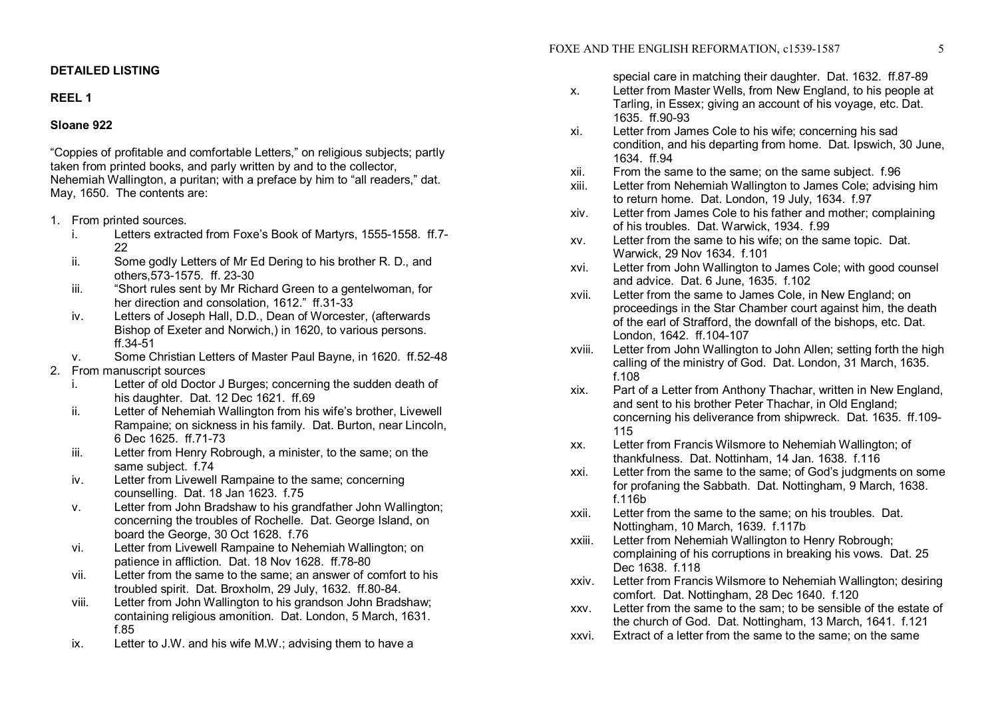# **DETAILED LISTING**

## **REEL 1**

# **Sloane 922**

"Coppies of profitable and comfortable Letters," on religious subjects; partly taken from printed books, and parly written by and to the collector, Nehemiah Wallington, a puritan; with a preface by him to "all readers," dat. May, 1650. The contents are:

- 1. From printed sources.
	- i. Letters extracted from Foxe's Book of Martyrs, 1555-1558. ff.7-22
	- ii. Some godly Letters of Mr Ed Dering to his brother R. D., and others, 573-1575. ff. 23-30
	- iii. "Short rules sent by Mr Richard Green to a gentelwoman, for her direction and consolation,  $1612$ ."  $ff.31-33$
	- iv. Letters of Joseph Hall, D.D., Dean of Worcester, (afterwards Bishop of Exeter and Norwich,) in 1620, to various persons. ff.3451
	- v. Some Christian Letters of Master Paul Bayne, in 1620. ff.5248
- 2. From manuscript sources
	- i. Letter of old Doctor J Burges; concerning the sudden death of his daughter. Dat. 12 Dec 1621. ff.69
	- ii. Letter of Nehemiah Wallington from his wife's brother, Livewell Rampaine; on sickness in his family. Dat. Burton, near Lincoln, 6 Dec 1625. ff.71-73
	- iii. Letter from Henry Robrough, a minister, to the same; on the same subject. f.74
	- iv. Letter from Livewell Rampaine to the same; concerning counselling. Dat. 18 Jan 1623. f.75
	- v. Letter from John Bradshaw to his grandfather John Wallington; concerning the troubles of Rochelle. Dat. George Island, on board the George, 30 Oct 1628. f.76
	- vi. Letter from Livewell Rampaine to Nehemiah Wallington; on patience in affliction. Dat. 18 Nov 1628. ff.78-80
	- vii. Letter from the same to the same; an answer of comfort to his troubled spirit. Dat. Broxholm, 29 July, 1632. ff.80-84.
	- viii. Letter from John Wallington to his grandson John Bradshaw; containing religious amonition. Dat. London, 5 March, 1631. f.85
	- ix. Letter to J.W. and his wife M.W.; advising them to have a

special care in matching their daughter. Dat. 1632. ff.87-89

- x. Letter from Master Wells, from New England, to his people at Tarling, in Essex; giving an account of his voyage, etc. Dat. 1635. ff.90-93
- xi. Letter from James Cole to his wife; concerning his sad condition, and his departing from home. Dat. Ipswich, 30 June, 1634. ff.94
- xii. From the same to the same; on the same subject. f.96
- xiii. Letter from Nehemiah Wallington to James Cole; advising him to return home. Dat. London, 19 July, 1634. f.97
- xiv. Letter from James Cole to his father and mother; complaining of his troubles. Dat. Warwick, 1934. f.99
- xv. Letter from the same to his wife; on the same topic. Dat. Warwick, 29 Nov 1634. f.101
- xvi. Letter from John Wallington to James Cole; with good counsel and advice. Dat. 6 June, 1635. f.102
- xvii. Letter from the same to James Cole, in New England; on proceedings in the Star Chamber court against him, the death of the earl of Strafford, the downfall of the bishops, etc. Dat. London, 1642. ff. 104-107
- xviii. Letter from John Wallington to John Allen; setting forth the high calling of the ministry of God. Dat. London, 31 March, 1635. f.108
- xix. Part of a Letter from Anthony Thachar, written in New England, and sent to his brother Peter Thachar, in Old England; concerning his deliverance from shipwreck. Dat. 1635. ff.109 115
- xx. Letter from Francis Wilsmore to Nehemiah Wallington; of thankfulness. Dat. Nottinham, 14 Jan. 1638. f.116
- xxi. Letter from the same to the same; of God's judgments on some for profaning the Sabbath. Dat. Nottingham, 9 March, 1638. f.116b
- xxii. Letter from the same to the same; on his troubles. Dat. Nottingham, 10 March, 1639. f.117b
- xxiii. Letter from Nehemiah Wallington to Henry Robrough; complaining of his corruptions in breaking his vows. Dat. 25 Dec 1638. f.118
- xxiv. Letter from Francis Wilsmore to Nehemiah Wallington; desiring comfort. Dat. Nottingham, 28 Dec 1640. f.120
- xxv. Letter from the same to the sam; to be sensible of the estate of the church of God. Dat. Nottingham, 13 March, 1641. f.121
- xxvi. Extract of a letter from the same to the same; on the same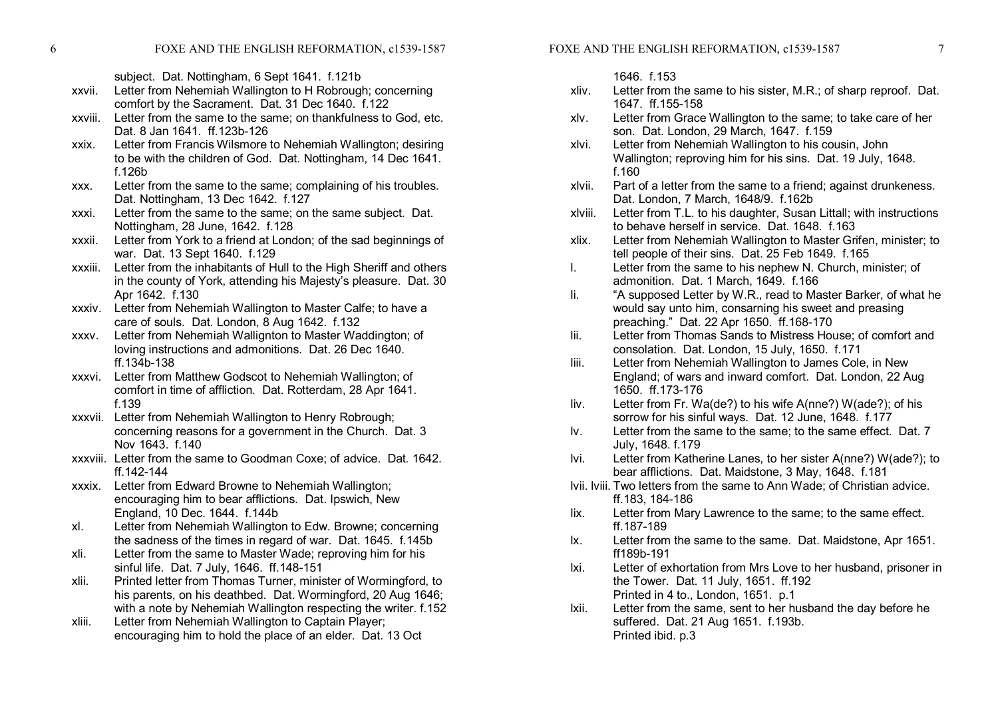6 FOXE AND THE ENGLISH REFORMATION, c1539-1587

subject. Dat. Nottingham, 6 Sept 1641. f.121b

- xxvii. Letter from Nehemiah Wallington to H Robrough; concerning comfort by the Sacrament. Dat. 31 Dec 1640. f.122
- xxviii. Letter from the same to the same; on thankfulness to God, etc. Dat. 8 Jan 1641. ff.123b-126
- xxix. Letter from Francis Wilsmore to Nehemiah Wallington; desiring to be with the children of God. Dat. Nottingham, 14 Dec 1641. f.126b
- xxx. Letter from the same to the same; complaining of his troubles. Dat. Nottingham, 13 Dec 1642. f.127
- xxxi. Letter from the same to the same; on the same subject. Dat. Nottingham, 28 June, 1642. f.128
- xxxii. Letter from York to a friend at London; of the sad beginnings of war. Dat. 13 Sept 1640. f.129
- xxxiii. Letter from the inhabitants of Hull to the High Sheriff and others in the county of York, attending his Majesty's pleasure. Dat. 30 Apr 1642. f.130
- xxxiv. Letter from Nehemiah Wallington to Master Calfe; to have a care of souls. Dat. London, 8 Aug 1642. f.132
- xxxv. Letter from Nehemiah Wallignton to Master Waddington; of loving instructions and admonitions. Dat. 26 Dec 1640. ff.134b-138
- xxxvi. Letter from Matthew Godscot to Nehemiah Wallington; of comfort in time of affliction. Dat. Rotterdam, 28 Apr 1641. f.139
- xxxvii. Letter from Nehemiah Wallington to Henry Robrough; concerning reasons for a government in the Church. Dat. 3 Nov 1643. f.140
- xxxviii. Letter from the same to Goodman Coxe; of advice. Dat. 1642. ff.142-144
- xxxix. Letter from Edward Browne to Nehemiah Wallington; encouraging him to bear afflictions. Dat. Ipswich, New England, 10 Dec. 1644. f.144b
- xl. Letter from Nehemiah Wallington to Edw. Browne; concerning the sadness of the times in regard of war. Dat. 1645. f.145b
- xli. Letter from the same to Master Wade; reproving him for his sinful life. Dat. 7 July, 1646. ff.148-151
- xlii. Printed letter from Thomas Turner, minister of Wormingford, to his parents, on his deathbed. Dat. Wormingford, 20 Aug 1646; with a note by Nehemiah Wallington respecting the writer. f.152
- xliii. Letter from Nehemiah Wallington to Captain Player; encouraging him to hold the place of an elder. Dat. 13 Oct
- 1646. f.153
- xliv. Letter from the same to his sister, M.R.; of sharp reproof. Dat. 1647. ff.155-158
- xlv. Letter from Grace Wallington to the same; to take care of her son. Dat. London, 29 March, 1647. f.159
- xlvi. Letter from Nehemiah Wallington to his cousin, John Wallington; reproving him for his sins. Dat. 19 July, 1648. f.160
- xlvii. Part of a letter from the same to a friend; against drunkeness. Dat. London, 7 March, 1648/9. f.162b
- xlviii. Letter from T.L. to his daughter, Susan Littall; with instructions to behave herself in service. Dat. 1648. f.163
- xlix. Letter from Nehemiah Wallington to Master Grifen, minister; to tell people of their sins. Dat. 25 Feb 1649. f.165
- l. Letter from the same to his nephew N. Church, minister; of admonition. Dat. 1 March, 1649. f.166
- li. "A supposed Letter by W.R., read to Master Barker, of what he would say unto him, consarning his sweet and preasing preaching." Dat. 22 Apr 1650. ff. 168-170
- lii. Letter from Thomas Sands to Mistress House; of comfort and consolation. Dat. London, 15 July, 1650. f.171
- liii. Letter from Nehemiah Wallington to James Cole, in New England; of wars and inward comfort. Dat. London, 22 Aug 1650. ff.173-176
- liv. Letter from Fr. Wa(de?) to his wife A(nne?) W(ade?); of his sorrow for his sinful ways. Dat. 12 June, 1648. f.177
- lv. Letter from the same to the same; to the same effect. Dat. 7 July, 1648. f.179
- lvi. Letter from Katherine Lanes, to her sister A(nne?) W(ade?); to bear afflictions. Dat. Maidstone, 3 May, 1648. f.181
- lvii. lviii. Two letters from the same to Ann Wade; of Christian advice. ff.183, 184-186
- lix. Letter from Mary Lawrence to the same; to the same effect. ff.187-189
- lx. Letter from the same to the same. Dat. Maidstone, Apr 1651. ff189b-191
- lxi. Letter of exhortation from Mrs Love to her husband, prisoner in the Tower. Dat. 11 July, 1651. ff.192 Printed in 4 to., London, 1651. p.1
- lxii. Letter from the same, sent to her husband the day before he suffered. Dat. 21 Aug 1651. f.193b. Printed ibid. p.3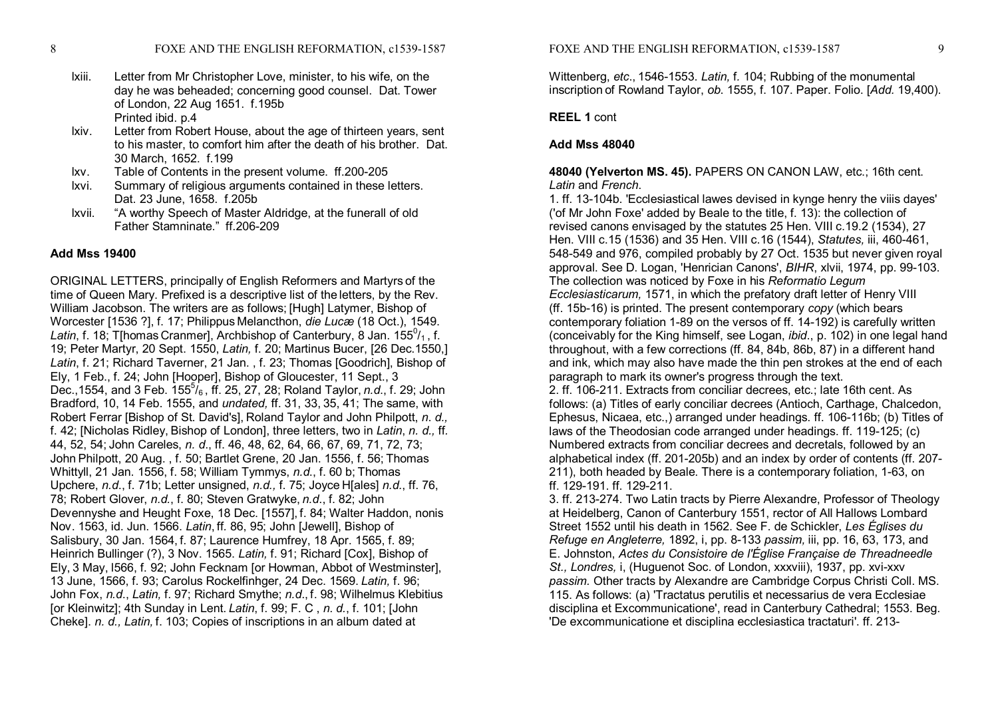- lxiii. Letter from Mr Christopher Love, minister, to his wife, on the day he was beheaded; concerning good counsel. Dat. Tower of London, 22 Aug 1651. f.195b Printed ibid. p.4
- lxiv. Letter from Robert House, about the age of thirteen years, sent to his master, to comfort him after the death of his brother. Dat. 30 March, 1652. f.199
- lxv. Table of Contents in the present volume. ff.200-205
- lxvi. Summary of religious arguments contained in these letters. Dat. 23 June, 1658. f.205b
- lxvii. "A worthy Speech of Master Aldridge, at the funerall of old Father Stamninate." ff.206-209

## **Add Mss 19400**

ORIGINAL LETTERS, principally of English Reformers and Martyrs of the time of Queen Mary. Prefixed is a descriptive list of the letters, by the Rev. William Jacobson. The writers are as follows; [Hugh] Latymer, Bishop of Worcester [1536 ?], f. 17; Philippus Melancthon, *die Lucæ* (18 Oct.), 1549. La*tin*, f. 18; T[homas Cranmer], Archbishop of Canterbury, 8 Jan. 155<sup>0</sup>/<sub>1</sub>, f. 19; Peter Martyr, 20 Sept. 1550, *Latin,* f. 20; Martinus Bucer, [26 Dec.1550,] *Latin*, f. 21; Richard Taverner, 21 Jan. , f. 23; Thomas [Goodrich], Bishop of Ely, 1 Feb., f. 24; John [Hooper], Bishop of Gloucester, 11 Sept., 3 Dec.,1554, and 3 Feb. 155 <sup>5</sup>/6 , ff. 25, 27, 28; Roland Taylor, *n.d*., f. 29; John Bradford, 10, 14 Feb. 1555, and *undated,* ff. 31, 33, 35, 41; The same, with Robert Ferrar [Bishop of St. David's], Roland Taylor and John Philpott, *n*. *d.,* f. 42; [Nicholas Ridley, Bishop of London], three letters, two in *Latin*, *n. d.,* ff*.* 44, 52, 54; John Careles, *n. d*., ff. 46, 48, 62, 64, 66, 67, 69, 71, 72, 73; John Philpott, 20 Aug. , f. 50; Bartlet Grene, 20 Jan. 1556, f. 56; Thomas Whittyll, 21 Jan. 1556, f. 58; William Tymmys, *n.d*., f. 60 b; Thomas Upchere, *n.d*., f. 71b; Letter unsigned, *n.d.,* f. 75; Joyce H[ales] *n.d.*, ff. 76, 78; Robert Glover, *n.d.*, f. 80; Steven Gratwyke, *n.d*., f. 82; John Devennyshe and Heught Foxe, 18 Dec. [1557], f. 84; Walter Haddon, nonis Nov. 1563, id. Jun. 1566. *Latin*, ff*.* 86, 95; John [Jewell], Bishop of Salisbury, 30 Jan. 1564, f. 87; Laurence Humfrey, 18 Apr. 1565, f. 89; Heinrich Bullinger (?), 3 Nov. 1565. *Latin,* f. 91; Richard [Cox], Bishop of Ely, 3 May, l566, f. 92; John Fecknam [or Howman, Abbot of Westminster], 13 June, 1566, f. 93; Carolus Rockelfinhger, 24 Dec. 1569. *Latin,* f. 96; John Fox, *n.d*., *Latin,* f. 97; Richard Smythe; *n.d*., f. 98; Wilhelmus Klebitius [or Kleinwitz]; 4th Sunday in Lent. *Latin*, f. 99; F. C , *n*. *d.*, f. 101; [John Cheke]. *n. d., Latin,* f. 103; Copies of inscriptions in an album dated at

Wittenberg, *etc.*, 1546-1553. *Latin,* f. 104; Rubbing of the monumental inscription of Rowland Taylor, *ob*. 1555, f. 107. Paper. Folio. [*Add.* 19,400).

#### **REEL 1** cont

## **Add Mss 48040**

## **48040 (Yelverton MS. 45).** PAPERS ON CANON LAW, etc.; 16th cent. *Latin* and *French*.

1. ff. 13-104b. 'Ecclesiastical lawes devised in kynge henry the viiis dayes' ('of Mr John Foxe' added by Beale to the title, f. 13): the collection of revised canons envisaged by the statutes 25 Hen. VIII c.19.2 (1534), 27 Hen. VIII c.15 (1536) and 35 Hen. VIII c.16 (1544), *Statutes,* iii, 460461, 548-549 and 976, compiled probably by 27 Oct. 1535 but never given royal approval. See D. Logan, 'Henrician Canons', *BIHR*, xlvii, 1974, pp. 99-103. The collection was noticed by Foxe in his *Reformatio Legum Ecclesiasticarum,* 1571, in which the prefatory draft letter of Henry VIII (ff. 15b-16) is printed. The present contemporary *copy* (which bears contemporary foliation 189 on the versos of ff. 14192) is carefully written (conceivably for the King himself, see Logan, *ibid*., p. 102) in one legal hand throughout, with a few corrections (ff. 84, 84b, 86b, 87) in a different hand and ink, which may also have made the thin pen strokes at the end of each paragraph to mark its owner's progress through the text.

2. ff. 106-211. Extracts from conciliar decrees, etc.; late 16th cent. As follows: (a) Titles of early conciliar decrees (Antioch, Carthage, Chalcedon, Ephesus, Nicaea, etc.,) arranged under headings. ff. 106116b; (b) Titles of laws of the Theodosian code arranged under headings. ff. 119-125; (c) Numbered extracts from conciliar decrees and decretals, followed by an alphabetical index (ff. 201-205b) and an index by order of contents (ff. 207-211), both headed by Beale. There is a contemporary foliation, 163, on ff. 129-191. ff. 129-211.

3. ff. 213-274. Two Latin tracts by Pierre Alexandre, Professor of Theology at Heidelberg, Canon of Canterbury 1551, rector of All Hallows Lombard Street 1552 until his death in 1562. See F. de Schickler, *Les Églises du Refuge en Angleterre,* 1892, i, pp. 8133 *passim,* iii, pp. 16, 63, 173, and E. Johnston, *Actes du Consistoire de l'Église Française de Threadneedle* St., Londres, i, (Huguenot Soc. of London, xxxviii), 1937, pp. xvi-xxv *passim.* Other tracts by Alexandre are Cambridge Corpus Christi Coll. MS. 115. As follows: (a) 'Tractatus perutilis et necessarius de vera Ecclesiae disciplina et Excommunicatione', read in Canterbury Cathedral; 1553. Beg. 'De excommunicatione et disciplina ecclesiastica tractaturi'. ff. 213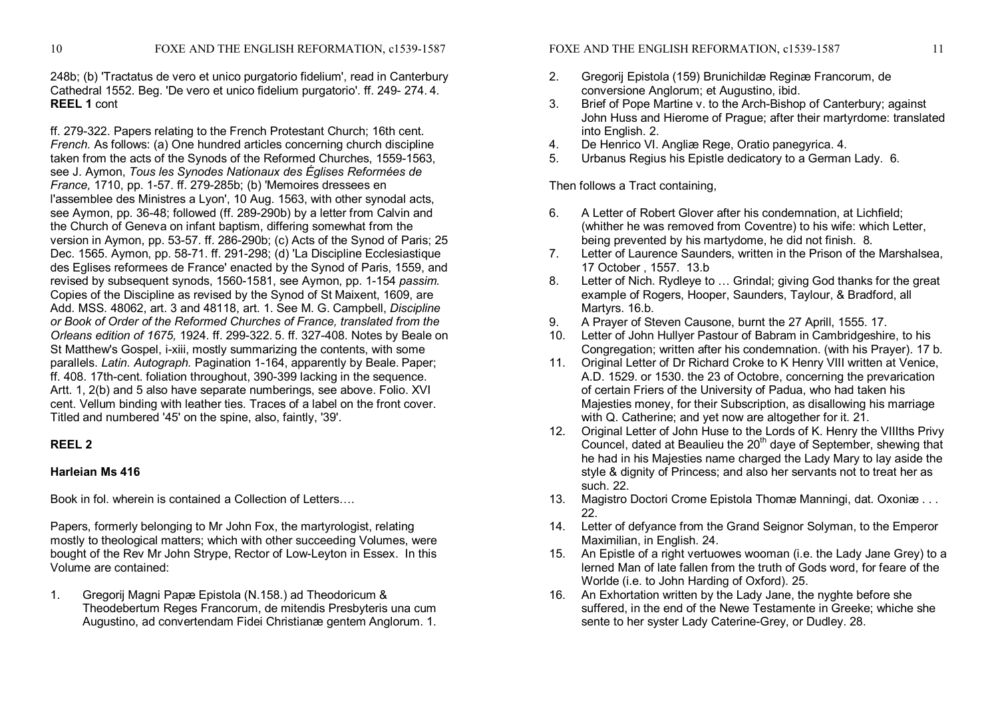248b; (b) 'Tractatus de vero et unico purgatorio fidelium', read in Canterbury Cathedral 1552. Beg. 'De vero et unico fidelium purgatorio'. ff. 249 274. 4. **REEL 1** cont

ff. 279-322. Papers relating to the French Protestant Church; 16th cent. *French.* As follows: (a) One hundred articles concerning church discipline taken from the acts of the Synods of the Reformed Churches, 1559-1563. see J. Aymon, *Tous les Synodes Nationaux des Églises Reformées de France*, 1710, pp. 1-57. ff. 279-285b; (b) 'Memoires dressees en l'assemblee des Ministres a Lyon', 10 Aug. 1563, with other synodal acts, see Aymon, pp. 36-48; followed (ff. 289-290b) by a letter from Calvin and the Church of Geneva on infant baptism, differing somewhat from the version in Aymon, pp. 53-57. ff. 286-290b; (c) Acts of the Synod of Paris; 25 Dec. 1565. Aymon, pp. 58-71. ff. 291-298; (d) 'La Discipline Ecclesiastique des Eglises reformees de France' enacted by the Synod of Paris, 1559, and revised by subsequent synods, 1560-1581, see Aymon, pp. 1-154 *passim.* Copies of the Discipline as revised by the Synod of St Maixent, 1609, are Add. MSS. 48062, art. 3 and 48118, art. 1. See M. G. Campbell, *Discipline or Book of Order of the Reformed Churches of France, translated from the Orleans edition of 1675, 1924. ff. 299-322. 5. ff. 327-408. Notes by Beale on* St Matthew's Gospel, *i-xiii, mostly summarizing the contents, with some* parallels. *Latin. Autograph.* Pagination 1-164, apparently by Beale. Paper; ff. 408. 17th-cent. foliation throughout, 390-399 lacking in the sequence. Artt. 1, 2(b) and 5 also have separate numberings, see above. Folio. XVI cent. Vellum binding with leather ties. Traces of a label on the front cover. Titled and numbered '45' on the spine, also, faintly, '39'.

# **REEL 2**

# **Harleian Ms 416**

Book in fol. wherein is contained a Collection of Letters….

Papers, formerly belonging to Mr John Fox, the martyrologist, relating mostly to theological matters; which with other succeeding Volumes, were bought of the Rev Mr John Strype, Rector of LowLeyton in Essex. In this Volume are contained:

1. Gregorij Magni Papæ Epistola (N.158.) ad Theodoricum & Theodebertum Reges Francorum, de mitendis Presbyteris una cum Augustino, ad convertendam Fidei Christianæ gentem Anglorum. 1.

- 2. Gregorij Epistola (159) Brunichildæ Reginæ Francorum, de conversione Anglorum; et Augustino, ibid.
- 3. Brief of Pope Martine v. to the Arch-Bishop of Canterbury; against John Huss and Hierome of Prague; after their martyrdome: translated into English. 2.
- 4. De Henrico VI. Angliæ Rege, Oratio panegyrica. 4.
- 5. Urbanus Regius his Epistle dedicatory to a German Lady. 6.

Then follows a Tract containing,

- 6. A Letter of Robert Glover after his condemnation, at Lichfield; (whither he was removed from Coventre) to his wife: which Letter, being prevented by his martydome, he did not finish. 8.
- 7. Letter of Laurence Saunders, written in the Prison of the Marshalsea, 17 October , 1557. 13.b
- 8. Letter of Nich. Rydleye to … Grindal; giving God thanks for the great example of Rogers, Hooper, Saunders, Taylour, & Bradford, all Martyrs. 16.b.
- 9. A Prayer of Steven Causone, burnt the 27 Aprill, 1555. 17.
- 10. Letter of John Hullyer Pastour of Babram in Cambridgeshire, to his Congregation; written after his condemnation. (with his Prayer). 17 b.
- 11. Original Letter of Dr Richard Croke to K Henry VIII written at Venice, A.D. 1529. or 1530. the 23 of Octobre, concerning the prevarication of certain Friers of the University of Padua, who had taken his Majesties money, for their Subscription, as disallowing his marriage with Q. Catherine: and yet now are altogether for it. 21.
- 12. Original Letter of John Huse to the Lords of K. Henry the VIIIths Privy Councel, dated at Beaulieu the 20<sup>th</sup> daye of September, shewing that he had in his Majesties name charged the Lady Mary to lay aside the style & dignity of Princess; and also her servants not to treat her as such. 22.
- 13. Magistro Doctori Crome Epistola Thomæ Manningi, dat. Oxoniæ . . . 22.
- 14. Letter of defyance from the Grand Seignor Solyman, to the Emperor Maximilian, in English. 24.
- 15. An Epistle of a right vertuowes wooman (i.e. the Lady Jane Grey) to a lerned Man of late fallen from the truth of Gods word, for feare of the Worlde (i.e. to John Harding of Oxford). 25.
- 16. An Exhortation written by the Lady Jane, the nyghte before she suffered, in the end of the Newe Testamente in Greeke; whiche she sente to her syster Lady Caterine-Grey, or Dudley, 28.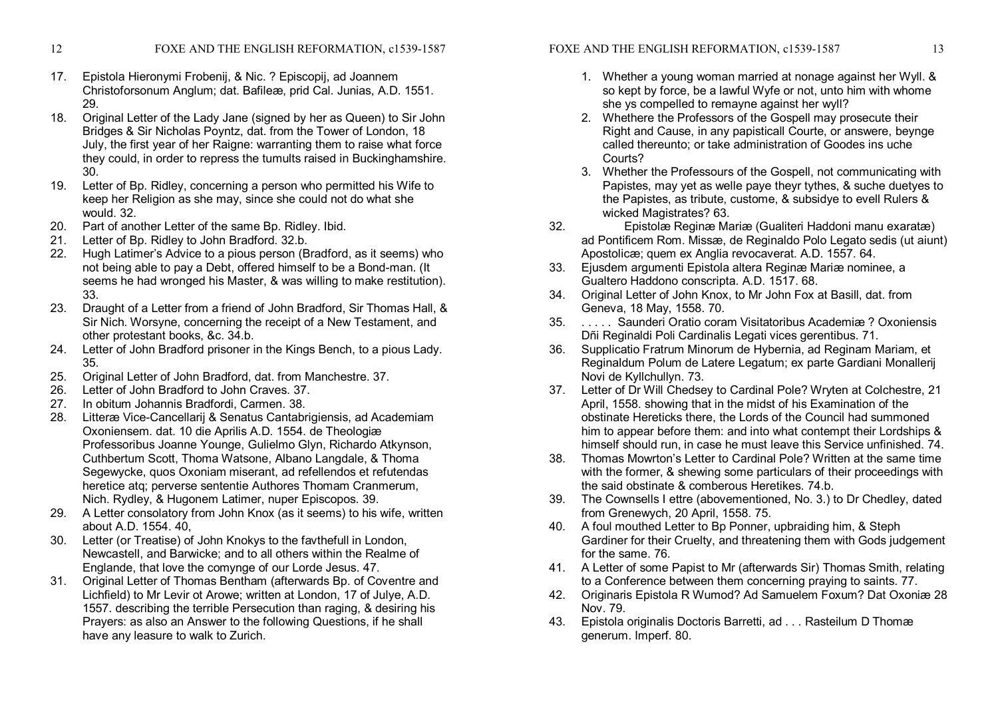- 12 FOXE AND THE ENGLISH REFORMATION, c1539-1587
- 17. Epistola Hieronymi Frobenij, & Nic. ? Episcopij, ad Joannem Christoforsonum Anglum; dat. Bafileæ, prid Cal. Junias, A.D. 1551. 29.
- 18. Original Letter of the Lady Jane (signed by her as Queen) to Sir John Bridges & Sir Nicholas Poyntz, dat. from the Tower of London, 18 July, the first year of her Raigne: warranting them to raise what force they could, in order to repress the tumults raised in Buckinghamshire. 30.
- 19. Letter of Bp. Ridley, concerning a person who permitted his Wife to keep her Religion as she may, since she could not do what she would. 32.
- 20. Part of another Letter of the same Bp. Ridley. Ibid.
- 21. Letter of Bp. Ridley to John Bradford. 32.b.
- 22. Hugh Latimer's Advice to a pious person (Bradford, as it seems) who not being able to pay a Debt, offered himself to be a Bond-man. (It seems he had wronged his Master, & was willing to make restitution). 33.
- 23. Draught of a Letter from afriend of John Bradford, Sir Thomas Hall, & Sir Nich. Worsyne, concerning the receipt of a New Testament, and other protestant books, &c. 34.b.
- 24. Letter of John Bradford prisoner in the Kings Bench, to a pious Lady. 35.
- 25. Original Letter of John Bradford, dat. from Manchestre. 37.
- 26. Letter of John Bradford to John Craves. 37.
- 27. In obitum Johannis Bradfordi, Carmen. 38.
- 28. Litteræ Vice-Cancellarij & Senatus Cantabrigiensis, ad Academiam Oxoniensem. dat. 10 die Aprilis A.D. 1554. de Theologiæ Professoribus Joanne Younge, Gulielmo Glyn, Richardo Atkynson, Cuthbertum Scott, Thoma Watsone, Albano Langdale, & Thoma Segewycke, quos Oxoniam miserant, ad refellendos et refutendas heretice atq; perverse sententie Authores Thomam Cranmerum, Nich. Rydley, & Hugonem Latimer, nuper Episcopos. 39.
- 29. A Letter consolatory from John Knox (as it seems) to his wife, written about A.D. 1554. 40,
- 30. Letter (or Treatise) of John Knokys to the favthefull in London, Newcastell, and Barwicke; and to all others within the Realme of Englande, that love the comynge of our Lorde Jesus. 47.
- 31. Original Letter of Thomas Bentham (afterwards Bp. of Coventre and Lichfield) to Mr Levir ot Arowe; written at London, 17 of Julye, A.D. 1557. describing the terrible Persecution than raging, & desiring his Prayers: as also an Answer to the following Questions, if he shall have any leasure to walk to Zurich.
- 1. Whether a young woman married at nonage against her Wyll. & so kept by force, be a lawful Wyfe or not, unto him with whome she ys compelled to remayne against her wyll?
- 2. Whethere the Professors of the Gospell may prosecute their Right and Cause, in any papisticall Courte, or answere, beynge called thereunto; or take administration of Goodes ins uche Courts?
- 3. Whether the Professours of the Gospell, not communicating with Papistes, may yet as welle paye theyr tythes, & suche duetyes to the Papistes, as tribute, custome, & subsidye to evell Rulers & wicked Magistrates? 63.
- 32. Epistolæ Reginæ Mariæ (Gualiteri Haddoni manu exaratæ) ad Pontificem Rom. Missæ, de Reginaldo Polo Legato sedis (ut aiunt) Apostolicæ; quem ex Anglia revocaverat. A.D. 1557. 64.
- 33. Ejusdem argumenti Epistola altera Reginæ Mariæ nominee, a Gualtero Haddono conscripta. A.D. 1517. 68.
- 34. Original Letter of John Knox, to Mr John Fox at Basill, dat. from Geneva, 18 May, 1558. 70.
- 35. . . . . . Saunderi Oratio coram Visitatoribus Academiæ ? Oxoniensis Dñi Reginaldi Poli Cardinalis Legati vices gerentibus. 71.
- 36. Supplicatio Fratrum Minorum de Hybernia, ad Reginam Mariam, et Reginaldum Polum de Latere Legatum; ex parte Gardiani Monallerij Novi de Kyllchullyn. 73.
- 37. Letter of Dr Will Chedsey to Cardinal Pole? Wryten at Colchestre, 21 April, 1558. showing that in the midst of his Examination of the obstinate Hereticks there, the Lords of the Council had summoned him to appear before them: and into what contempt their Lordships & himself should run, in case he must leave this Service unfinished. 74.
- 38. Thomas Mowrton's Letter to Cardinal Pole? Written at the same time with the former, & shewing some particulars of their proceedings with the said obstinate & comberous Heretikes. 74.b.
- 39. The Cownsells I ettre (abovementioned, No. 3.) to Dr Chedley, dated from Grenewych, 20 April, 1558. 75.
- 40. A foul mouthed Letter to Bp Ponner, upbraiding him, & Steph Gardiner for their Cruelty, and threatening them with Gods judgement for the same. 76.
- 41. A Letter of some Papist to Mr (afterwards Sir) Thomas Smith, relating to a Conference between them concerning praying to saints. 77.
- 42. Originaris Epistola R Wumod? Ad Samuelem Foxum? Dat Oxoniæ 28 Nov. 79.
- 43. Epistola originalis Doctoris Barretti, ad . . . Rasteilum D Thomæ generum. Imperf. 80.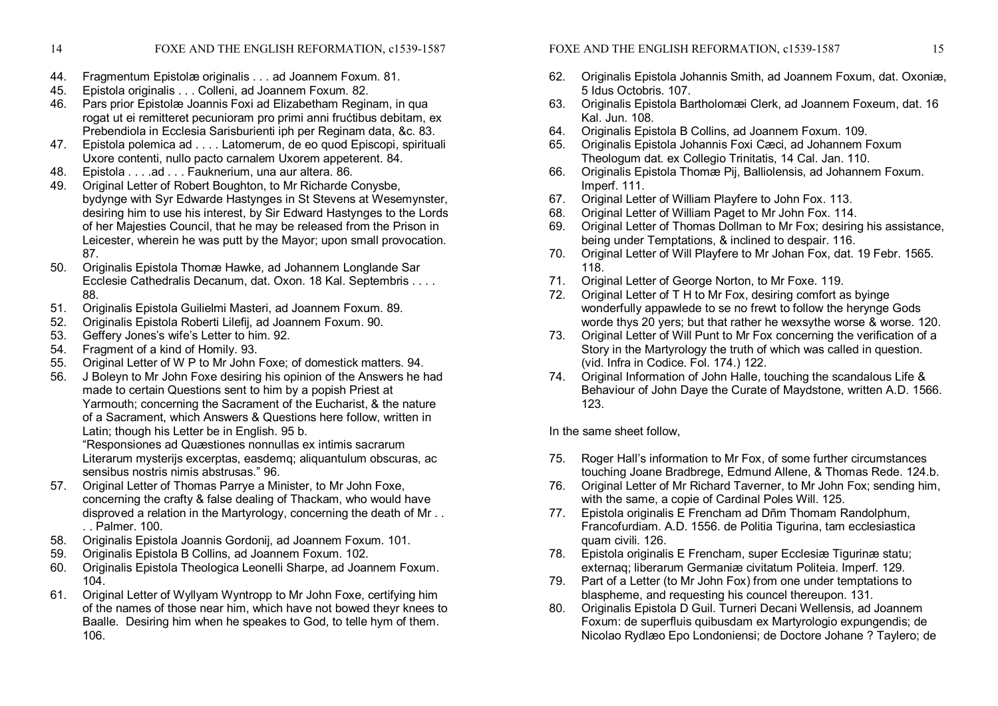- 44. Fragmentum Epistolæ originalis . . . ad Joannem Foxum. 81.
- 45. Epistola originalis . . . Colleni, ad Joannem Foxum. 82.
- 46. Pars prior Epistolæ Joannis Foxi ad Elizabetham Reginam, in qua rogat ut ei remitteret pecunioram pro primi anni frućtibus debitam, ex Prebendiola in Ecclesia Sarisburienti iph per Reginam data, &c. 83.
- 47. Epistola polemica ad . . . . Latomerum, de eo quod Episcopi, spirituali Uxore contenti, nullo pacto carnalem Uxorem appeterent. 84.
- 48. Epistola . . . .ad . . . Fauknerium, una aur altera. 86.
- 49. Original Letter of Robert Boughton, to Mr Richarde Conysbe, bydynge with Syr Edwarde Hastynges in St Stevens at Wesemynster, desiring him to use his interest, by Sir Edward Hastynges to the Lords of her Majesties Council, that he may be released from the Prison in Leicester, wherein he was putt by the Mayor; upon small provocation. 87.
- 50. Originalis Epistola Thomæ Hawke, ad Johannem Longlande Sar Ecclesie Cathedralis Decanum, dat. Oxon. 18 Kal. Septembris . . . . 88.
- 51. Originalis Epistola Guilielmi Masteri, ad Joannem Foxum. 89.
- 52. Originalis Epistola Roberti Lilefij, ad Joannem Foxum. 90.
- 53. Geffery Jones's wife's Letter to him. 92.
- 54. Fragment of a kind of Homily. 93.
- 55. Original Letter of W P to Mr John Foxe; of domestick matters. 94.
- 56. J Boleyn to Mr John Foxe desiring his opinion of the Answers he had made to certain Questions sent to him by a popish Priest at Yarmouth; concerning the Sacrament of the Eucharist, & the nature of a Sacrament, which Answers & Questions here follow, written in Latin; though his Letter be in English. 95 b.

"Responsiones ad Quæstiones nonnullas ex intimis sacrarum Literarum mysterijs excerptas, easdemq; aliquantulum obscuras, ac sensibus nostris nimis abstrusas." 96.

- 57. Original Letter of Thomas Parrye a Minister, to Mr John Foxe, concerning the crafty & false dealing of Thackam, who would have disproved a relation in the Martyrology, concerning the death of Mr . . . . Palmer. 100.
- 58. Originalis Epistola Joannis Gordonij, ad Joannem Foxum. 101.
- 59. Originalis Epistola B Collins, ad Joannem Foxum. 102.
- 60. Originalis Epistola Theologica Leonelli Sharpe, ad Joannem Foxum. 104.
- 61. Original Letter of Wyllyam Wyntropp to Mr John Foxe, certifying him of the names of those near him, which have not bowed theyr knees to Baalle. Desiring him when he speakes to God, to telle hym of them. 106.
- 62. Originalis Epistola Johannis Smith, ad Joannem Foxum, dat. Oxoniæ, 5 Idus Octobris. 107.
- 63. Originalis Epistola Bartholomæi Clerk, ad Joannem Foxeum, dat. 16 Kal. Jun. 108.
- 64. Originalis Epistola B Collins, ad Joannem Foxum. 109.
- 65. Originalis Epistola Johannis Foxi Cæci, ad Johannem Foxum Theologum dat. ex Collegio Trinitatis, 14 Cal. Jan. 110.
- 66. Originalis Epistola Thomæ Pij, Balliolensis, ad Johannem Foxum. Imperf. 111.
- 67. Original Letter of William Playfere to John Fox. 113.
- 68. Original Letter of William Paget to Mr John Fox. 114.
- 69. Original Letter of Thomas Dollman to Mr Fox; desiring his assistance, being under Temptations, & inclined to despair. 116.
- 70. Original Letter of Will Playfere to Mr Johan Fox, dat. 19 Febr. 1565. 118.
- 71. Original Letter of George Norton, to Mr Foxe. 119.
- 72. Original Letter of T H to Mr Fox, desiring comfort as byinge wonderfully appawlede to se no frewt to follow the herynge Gods worde thys 20 yers; but that rather he wexsythe worse & worse. 120.
- 73. Original Letter of Will Punt to Mr Fox concerning the verification of a Story in the Martyrology the truth of which was called in question. (vid. Infra in Codice. Fol. 174.) 122.
- 74. Original Information of John Halle, touching the scandalous Life & Behaviour of John Daye the Curate of Maydstone, written A.D. 1566. 123.

In the same sheet follow,

- 75. Roger Hall's information to Mr Fox, of some further circumstances touching Joane Bradbrege, Edmund Allene, & Thomas Rede. 124.b.
- 76. Original Letter of Mr Richard Taverner, to Mr John Fox; sending him, with the same, a copie of Cardinal Poles Will. 125.
- 77. Epistola originalis E Frencham ad Dñm Thomam Randolphum, Francofurdiam. A.D. 1556. de Politia Tigurina, tam ecclesiastica quam civili. 126.
- 78. Epistola originalis E Frencham, super Ecclesiæ Tigurinæ statu; externaq; liberarum Germaniæ civitatum Politeia. Imperf. 129.
- 79. Part of a Letter (to Mr John Fox) from one under temptations to blaspheme, and requesting his councel thereupon. 131.
- 80. Originalis Epistola D Guil. Turneri Decani Wellensis, ad Joannem Foxum: de superfluis quibusdam ex Martyrologio expungendis; de Nicolao Rydlæo Epo Londoniensi; de Doctore Johane ? Taylero; de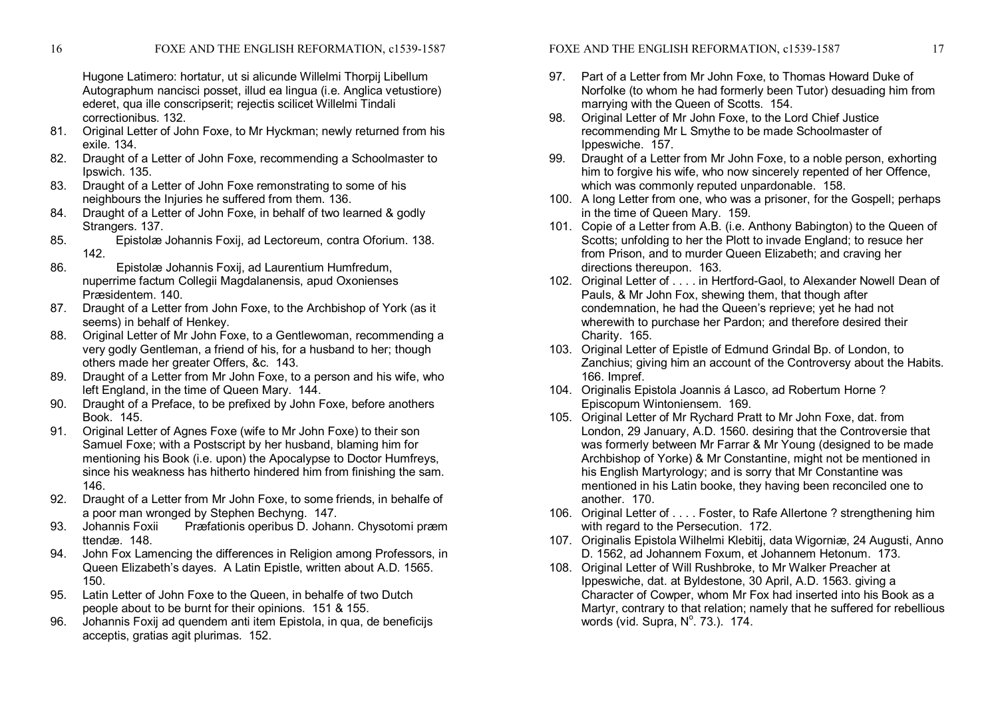Hugone Latimero: hortatur, ut si alicunde Willelmi Thorpij Libellum Autographum nancisci posset, illud ea lingua (i.e. Anglica vetustiore) ederet, qua ille conscripserit; rejectis scilicet Willelmi Tindali correctionibus. 132.

- 81. Original Letter of John Foxe, to Mr Hyckman; newly returned from his exile. 134.
- 82. Draught of a Letter of John Foxe, recommending a Schoolmaster to Ipswich. 135.
- 83. Draught of a Letter of John Foxe remonstrating to some of his neighbours the Injuries he suffered from them. 136.
- 84. Draught of a Letter of John Foxe, in behalf of two learned & godly Strangers. 137.
- 85. Epistolæ Johannis Foxij, ad Lectoreum, contra Oforium. 138. 142.
- 86. Epistolæ Johannis Foxij, ad Laurentium Humfredum, nuperrime factum Collegii Magdalanensis, apud Oxonienses Præsidentem. 140.
- 87. Draught of a Letter from John Foxe, to the Archbishop of York (as it seems) in behalf of Henkey.
- 88. Original Letter of Mr John Foxe, to a Gentlewoman, recommending a very godly Gentleman, a friend of his, for a husband to her; though others made her greater Offers, &c. 143.
- 89. Draught of a Letter from Mr John Foxe, to a person and his wife, who left England, in the time of Queen Mary. 144.
- 90. Draught of a Preface, to be prefixed by John Foxe, before anothers Book. 145.
- 91. Original Letter of Agnes Foxe (wife to Mr John Foxe) to their son Samuel Foxe; with a Postscript by her husband, blaming him for mentioning his Book (i.e. upon) the Apocalypse to Doctor Humfreys, since his weakness has hitherto hindered him from finishing the sam. 146.
- 92. Draught of a Letter from Mr John Foxe, to some friends, in behalfe of a poor man wronged by Stephen Bechyng. 147.<br>93. Johannis Foxii Præfationis operibus D. Johan
- Præfationis operibus D. Johann. Chysotomi præm ttendæ. 148.
- 94. John Fox Lamencing the differences in Religion among Professors, in Queen Elizabeth's dayes. A Latin Epistle, written about A.D. 1565. 150.
- 95. Latin Letter of John Foxe to the Queen, in behalfe of two Dutch people about to be burnt for their opinions. 151 & 155.
- 96. Johannis Foxij ad quendem anti item Epistola, in qua, de beneficijs acceptis, gratias agit plurimas. 152.

FOXE AND THE ENGLISH REFORMATION, c1539-1587 17

- 97. Part of a Letter from Mr John Foxe, to Thomas Howard Duke of Norfolke (to whom he had formerly been Tutor) desuading him from marrying with the Queen of Scotts. 154.
- 98. Original Letter of Mr John Foxe, to the Lord Chief Justice recommending Mr L Smythe to be made Schoolmaster of Ippeswiche. 157.
- 99. Draught of a Letter from Mr John Foxe, to a noble person, exhorting him to forgive his wife, who now sincerely repented of her Offence, which was commonly reputed unpardonable. 158.
- 100. A long Letter from one, who was a prisoner, for the Gospell; perhaps in the time of Queen Mary. 159.
- 101. Copie of a Letter from A.B. (i.e. Anthony Babington) to the Queen of Scotts; unfolding to her the Plott to invade England; to resuce her from Prison, and to murder Queen Elizabeth; and craving her directions thereupon. 163.
- 102. Original Letter of . . . . in Hertford-Gaol, to Alexander Nowell Dean of Pauls, & Mr John Fox, shewing them, that though after condemnation, he had the Queen's reprieve; yet he had not wherewith to purchase her Pardon; and therefore desired their Charity. 165.
- 103. Original Letter of Epistle of Edmund Grindal Bp. of London, to Zanchius; giving him an account of the Controversy about the Habits. 166. Impref.
- 104. Originalis Epistola Joannis á Lasco, ad Robertum Horne ? Episcopum Wintoniensem. 169.
- 105. Original Letter of Mr Rychard Pratt to Mr John Foxe, dat. from London, 29 January, A.D. 1560. desiring that the Controversie that was formerly between Mr Farrar & Mr Young (designed to be made Archbishop of Yorke) & Mr Constantine, might not be mentioned in his English Martyrology; and is sorry that Mr Constantine was mentioned in his Latin booke, they having been reconciled one to another. 170.
- 106. Original Letter of . . . . Foster, to Rafe Allertone ? strengthening him with regard to the Persecution. 172.
- 107. Originalis Epistola Wilhelmi Klebitij, data Wigorniæ, 24 Augusti, Anno D. 1562, ad Johannem Foxum, et Johannem Hetonum. 173.
- 108. Original Letter of Will Rushbroke, to Mr Walker Preacher at Ippeswiche, dat. at Byldestone, 30 April, A.D. 1563. giving a Character of Cowper, whom Mr Fox had inserted into his Book as a Martyr, contrary to that relation; namely that he suffered for rebellious words (vid. Supra,  $N^{\circ}$ . 73.). 174.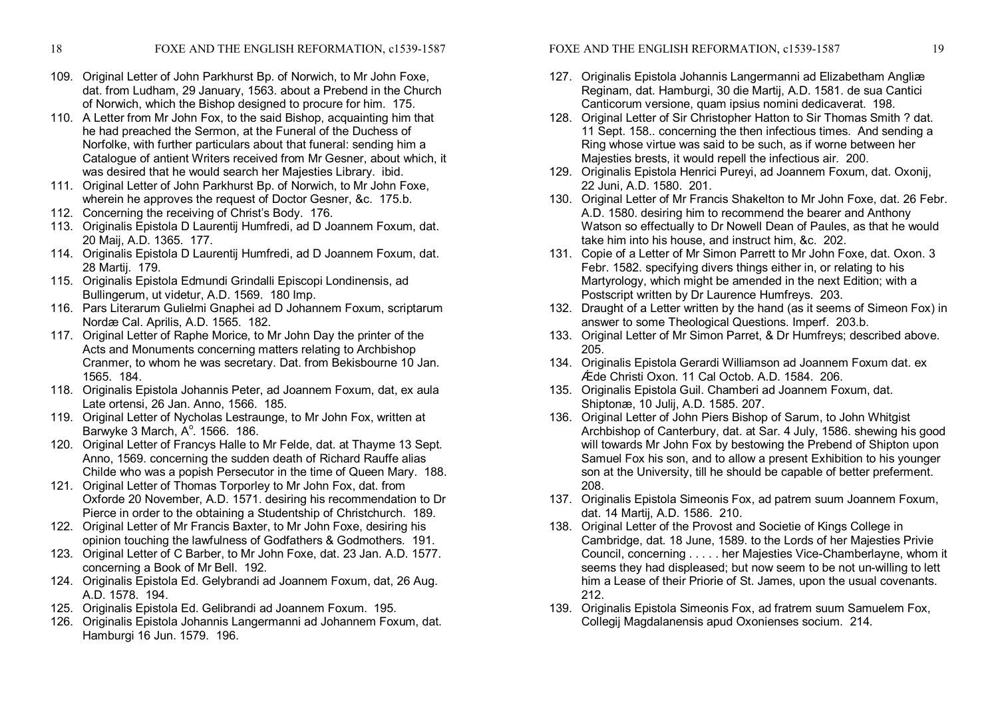- 109. Original Letter of John Parkhurst Bp. of Norwich, to Mr John Foxe, dat. from Ludham, 29 January, 1563. about a Prebend in the Church of Norwich, which the Bishop designed to procure for him. 175.
- 110. A Letter from Mr John Fox, to the said Bishop, acquainting him that he had preached the Sermon, at the Funeral of the Duchess of Norfolke, with further particulars about that funeral: sending him a Catalogue of antient Writers received from Mr Gesner, about which, it was desired that he would search her Majesties Library. ibid.
- 111. Original Letter of John Parkhurst Bp. of Norwich, to Mr John Foxe, wherein he approves the request of Doctor Gesner, &c. 175.b.
- 112. Concerning the receiving of Christ's Body. 176.
- 113. Originalis Epistola D Laurentij Humfredi, ad D Joannem Foxum, dat. 20 Maij, A.D. 1365. 177.
- 114. Originalis Epistola D Laurentij Humfredi, ad D Joannem Foxum, dat. 28 Martij. 179.
- 115. Originalis Epistola Edmundi Grindalli Episcopi Londinensis, ad Bullingerum, ut videtur, A.D. 1569. 180 Imp.
- 116. Pars Literarum Gulielmi Gnaphei ad D Johannem Foxum, scriptarum Nordæ Cal. Aprilis, A.D. 1565. 182.
- 117. Original Letter of Raphe Morice, to Mr John Day the printer of the Acts and Monuments concerning matters relating to Archbishop Cranmer, to whom he was secretary. Dat. from Bekisbourne 10 Jan. 1565. 184.
- 118. Originalis Epistola Johannis Peter, ad Joannem Foxum, dat, ex aula Late ortensi, 26 Jan. Anno, 1566. 185.
- 119. Original Letter of Nycholas Lestraunge, to Mr John Fox, written at Barwyke 3 March,  $A^\circ$ , 1566. 186.
- 120. Original Letter of Francys Halle to Mr Felde, dat. at Thayme 13 Sept. Anno, 1569. concerning the sudden death of Richard Rauffe alias Childe who was a popish Persecutor in the time of Queen Mary. 188.
- 121. Original Letter of Thomas Torporley to Mr John Fox, dat. from Oxforde 20 November, A.D. 1571. desiring his recommendation to Dr Pierce in order to the obtaining a Studentship of Christchurch. 189.
- 122. Original Letter of Mr Francis Baxter, to Mr John Foxe, desiring his opinion touching the lawfulness of Godfathers & Godmothers. 191.
- 123. Original Letter of C Barber, to Mr John Foxe, dat. 23 Jan. A.D. 1577. concerning a Book of Mr Bell. 192.
- 124. Originalis Epistola Ed. Gelybrandi ad Joannem Foxum, dat, 26 Aug. A.D. 1578. 194.
- 125. Originalis Epistola Ed. Gelibrandi ad Joannem Foxum. 195.
- 126. Originalis Epistola Johannis Langermanni ad Johannem Foxum, dat. Hamburgi 16 Jun. 1579. 196.

FOXE AND THE ENGLISH REFORMATION, c1539-1587 19

- 127. Originalis Epistola Johannis Langermanni ad Elizabetham Angliæ Reginam, dat. Hamburgi, 30 die Martij, A.D. 1581. de sua Cantici Canticorum versione, quam ipsius nomini dedicaverat. 198.
- 128. Original Letter of Sir Christopher Hatton to Sir Thomas Smith ? dat. 11 Sept. 158.. concerning the then infectious times. And sending a Ring whose virtue was said to be such, as if worne between her Majesties brests, it would repell the infectious air. 200.
- 129. Originalis Epistola Henrici Pureyi, ad Joannem Foxum, dat. Oxonij, 22 Juni, A.D. 1580. 201.
- 130. Original Letter of Mr Francis Shakelton to Mr John Foxe, dat. 26 Febr. A.D. 1580. desiring him to recommend the bearer and Anthony Watson so effectually to Dr Nowell Dean of Paules, as that he would take him into his house, and instruct him, &c. 202.
- 131. Copie of a Letter of Mr Simon Parrett to Mr John Foxe, dat. Oxon. 3 Febr. 1582. specifying divers things either in, or relating to his Martyrology, which might be amended in the next Edition; with a Postscript written by Dr Laurence Humfreys. 203.
- 132. Draught of a Letter written by the hand (as it seems of Simeon Fox) in answer to some Theological Questions. Imperf. 203.b.
- 133. Original Letter of Mr Simon Parret, & Dr Humfreys; described above. 205.
- 134. Originalis Epistola Gerardi Williamson ad Joannem Foxum dat. ex Ǽde Christi Oxon. 11 Cal Octob. A.D. 1584. 206.
- 135. Originalis Epistola Guil. Chamberi ad Joannem Foxum, dat. Shiptonæ, 10 Julij, A.D. 1585. 207.
- 136. Original Letter of John Piers Bishop of Sarum, to John Whitgist Archbishop of Canterbury, dat. at Sar. 4 July, 1586. shewing his good will towards Mr John Fox by bestowing the Prebend of Shipton upon Samuel Fox his son, and to allow a present Exhibition to his younger son at the University, till he should be capable of better preferment. 208.
- 137. Originalis Epistola Simeonis Fox, ad patrem suum Joannem Foxum, dat. 14 Martij, A.D. 1586. 210.
- 138. Original Letter of the Provost and Societie of Kings College in Cambridge, dat. 18 June, 1589. to the Lords of her Majesties Privie Council, concerning . . . . . her Majesties Vice-Chamberlayne, whom it seems they had displeased; but now seem to be not un-willing to lett him aLease of their Priorie of St. James, upon the usual covenants. 212.
- 139. Originalis Epistola Simeonis Fox, ad fratrem suum Samuelem Fox, Collegij Magdalanensis apud Oxonienses socium. 214.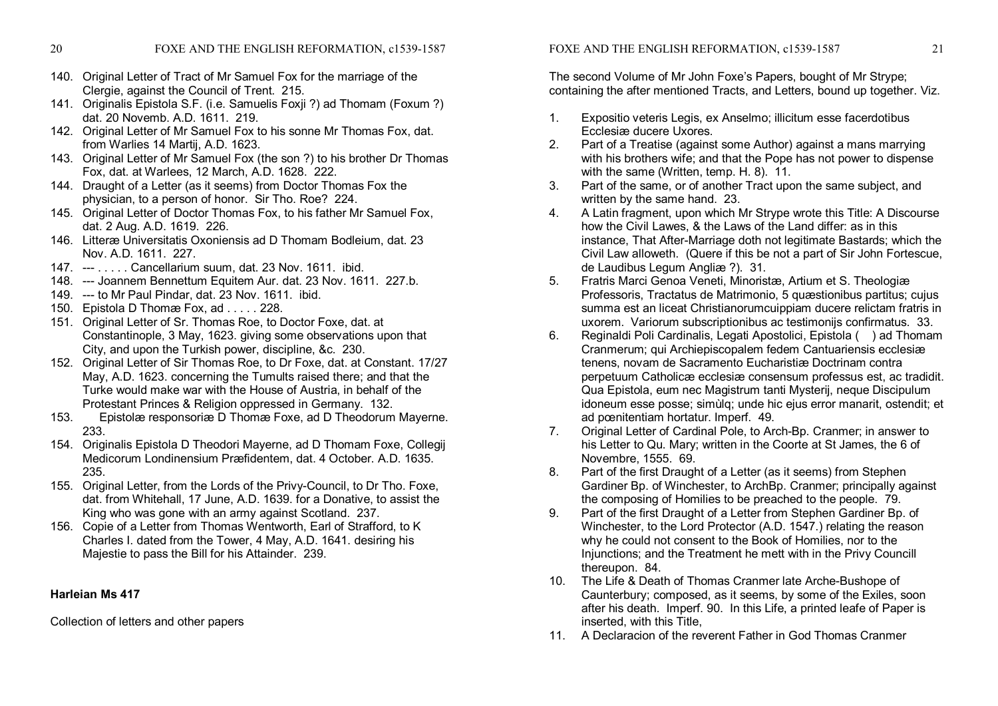- 140. Original Letter of Tract of Mr Samuel Fox for the marriage of the Clergie, against the Council of Trent. 215.
- 141. Originalis Epistola S.F. (i.e. Samuelis Foxji ?) ad Thomam (Foxum ?) dat. 20 Novemb. A.D. 1611. 219.
- 142. Original Letter of Mr Samuel Fox to his sonne Mr Thomas Fox, dat. from Warlies 14 Martij, A.D. 1623.
- 143. Original Letter of Mr Samuel Fox (the son ?) to his brother Dr Thomas Fox, dat. at Warlees, 12 March, A.D. 1628. 222.
- 144. Draught of a Letter (as it seems) from Doctor Thomas Fox the physician, to a person of honor. Sir Tho. Roe? 224.
- 145. Original Letter of Doctor Thomas Fox, to his father Mr Samuel Fox, dat. 2 Aug. A.D. 1619. 226.
- 146. Litteræ Universitatis Oxoniensis ad D Thomam Bodleium, dat. 23 Nov. A.D. 1611. 227.
- 147. --- . . . . . Cancellarium suum, dat. 23 Nov. 1611. ibid.
- 148. --- Joannem Bennettum Equitem Aur. dat. 23 Nov. 1611. 227.b.
- 149. --- to Mr Paul Pindar, dat. 23 Nov. 1611. ibid.
- 150. Epistola D Thomæ Fox, ad . . . . . 228.
- 151. Original Letter of Sr. Thomas Roe, to Doctor Foxe, dat. at Constantinople, 3 May, 1623. giving some observations upon that City, and upon the Turkish power, discipline, &c. 230.
- 152. Original Letter of Sir Thomas Roe, to Dr Foxe, dat. at Constant. 17/27 May, A.D. 1623. concerning the Tumults raised there; and that the Turke would make war with the House of Austria, in behalf of the Protestant Princes & Religion oppressed in Germany. 132.
- 153. Epistolæ responsoriæ D Thomæ Foxe, ad D Theodorum Mayerne. 233.
- 154. Originalis Epistola D Theodori Mayerne, ad D Thomam Foxe, Collegij Medicorum Londinensium Præfidentem, dat. 4 October. A.D. 1635. 235.
- 155. Original Letter, from the Lords of the Privy-Council, to Dr Tho. Foxe, dat. from Whitehall, 17 June, A.D. 1639. for a Donative, to assist the King who was gone with an army against Scotland. 237.
- 156. Copie of a Letter from Thomas Wentworth, Earl of Strafford, to K Charles I. dated from the Tower, 4 May, A.D. 1641. desiring his Majestie to pass the Bill for his Attainder. 239.

# **Harleian Ms 417**

Collection of letters and other papers

FOXE AND THE ENGLISH REFORMATION, c1539-1587 21

The second Volume of Mr John Foxe's Papers, bought of Mr Strype; containing the after mentioned Tracts, and Letters, bound up together. Viz.

- 1. Expositio veteris Legis, ex Anselmo; illicitum esse facerdotibus Ecclesiæ ducere Uxores.
- 2. Part of a Treatise (against some Author) against a mans marrying with his brothers wife; and that the Pope has not power to dispense with the same (Written, temp. H. 8). 11.
- 3. Part of the same, or of another Tract upon the same subject, and written by the same hand. 23.
- 4. A Latin fragment, upon which Mr Strype wrote this Title: A Discourse how the Civil Lawes, & the Laws of the Land differ: as in this instance, That After-Marriage doth not legitimate Bastards; which the Civil Law alloweth. (Quere if this be not a part of Sir John Fortescue, de Laudibus Legum Angliæ ?). 31.
- 5. Fratris Marci Genoa Veneti, Minoristæ, Artium et S. Theologiæ Professoris, Tractatus de Matrimonio, 5 quæstionibus partitus; cujus summa est an liceat Christianorumcuippiam ducere relictam fratris in uxorem. Variorum subscriptionibus ac testimonijs confirmatus. 33.
- 6. Reginaldi Poli Cardinalis, Legati Apostolici, Epistola ( ) ad Thomam Cranmerum; qui Archiepiscopalem fedem Cantuariensis ecclesiæ tenens, novam de Sacramento Eucharistiæ Doctrinam contra perpetuum Catholicæ ecclesiæ consensum professus est, ac tradidit. Qua Epistola, eum nec Magistrum tanti Mysterij, neque Discipulum idoneum esse posse; simùlq; unde hic ejus error manarit, ostendit; et ad pœnitentiam hortatur. Imperf. 49.
- 7. Original Letter of Cardinal Pole, to Arch-Bp. Cranmer; in answer to his Letter to Qu. Mary; written in the Coorte at St James, the 6 of Novembre, 1555. 69.
- 8. Part of the first Draught of a Letter (as it seems) from Stephen Gardiner Bp. of Winchester, to ArchBp. Cranmer; principally against the composing of Homilies to be preached to the people. 79.
- 9. Part of the first Draught of a Letter from Stephen Gardiner Bp. of Winchester, to the Lord Protector (A.D. 1547.) relating the reason why he could not consent to the Book of Homilies, nor to the Injunctions; and the Treatment he mett with in the Privy Councill thereupon. 84.
- 10. The Life & Death of Thomas Cranmer late Arche-Bushope of Caunterbury; composed, as it seems, by some of the Exiles, soon after his death. Imperf. 90. In this Life, a printed leafe of Paper is inserted, with this Title,
- 11. A Declaracion of the reverent Father in God Thomas Cranmer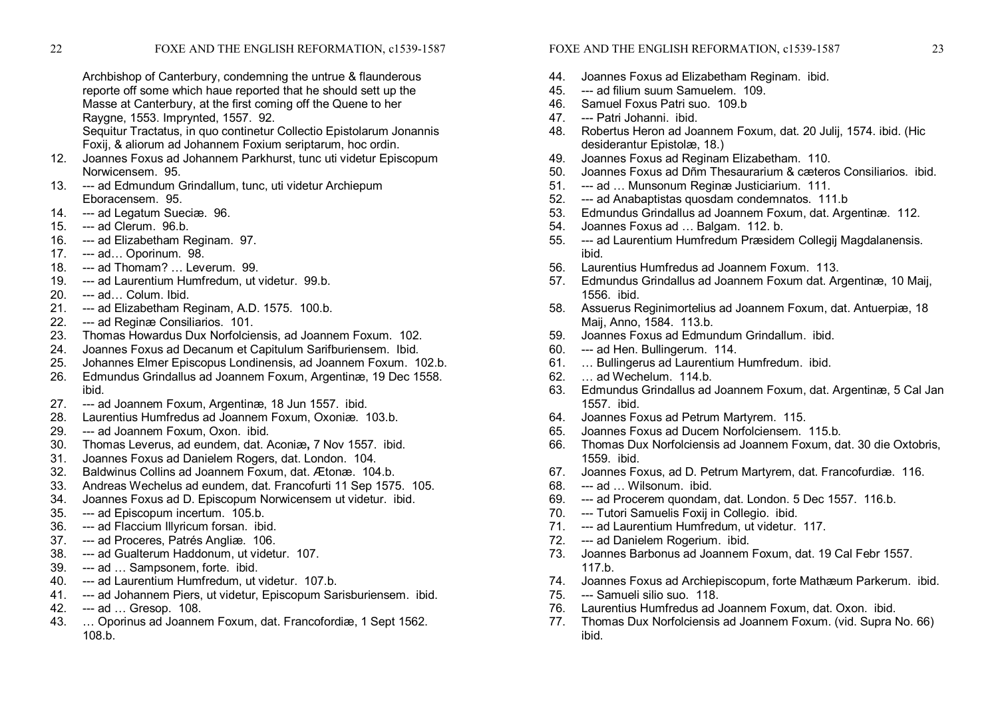Archbishop of Canterbury, condemning the untrue & flaunderous reporte off some which haue reported that he should sett up the Masse at Canterbury, at the first coming off the Quene to her Raygne, 1553. Imprynted, 1557. 92.

Sequitur Tractatus, in quo continetur Collectio Epistolarum Jonannis Foxij, & aliorum ad Johannem Foxium seriptarum, hoc ordin.

- 12. Joannes Foxus ad Johannem Parkhurst, tunc uti videtur Episcopum Norwicensem. 95.
- 13. --- ad Edmundum Grindallum, tunc, uti videtur Archiepum Eboracensem. 95.
- 14. --- ad Legatum Sueciæ. 96.
- $15.$  --- ad Clerum.  $96.b.$
- 16. --- ad Elizabetham Reginam. 97.
- 17. --- ad... Oporinum. 98.
- 18. --- ad Thomam? ... Leverum. 99.
- 19. --- ad Laurentium Humfredum, ut videtur. 99.b.
- $20.$  ---  $ad...$  Colum. Ibid.
- 21. --- ad Elizabetham Reginam, A.D. 1575. 100.b.
- 22. --- ad Reginæ Consiliarios. 101.
- 23. Thomas Howardus Dux Norfolciensis, ad Joannem Foxum. 102.
- 24. Joannes Foxus ad Decanum et Capitulum Sarifburiensem. Ibid.
- 25. Johannes Elmer Episcopus Londinensis, ad Joannem Foxum. 102.b.
- 26. Edmundus Grindallus ad Joannem Foxum, Argentinæ, 19 Dec 1558. ibid.
- 27. --- ad Joannem Foxum, Argentinæ, 18 Jun 1557. ibid.
- 28. Laurentius Humfredus ad Joannem Foxum, Oxoniæ. 103.b.
- 29. --- ad Joannem Foxum, Oxon. ibid.
- 30. Thomas Leverus, ad eundem, dat. Aconiæ**,** 7 Nov 1557. ibid.
- 31. Joannes Foxus ad Danielem Rogers, dat. London. 104.
- 32. Baldwinus Collins ad Joannem Foxum, dat. Ætonæ. 104.b.
- 33. Andreas Wechelus ad eundem, dat. Francofurti 11 Sep 1575. 105.
- 34. Joannes Foxus ad D. Episcopum Norwicensem ut videtur. ibid.
- 35. --- ad Episcopum incertum. 105.b.<br>36. --- ad Flaccium Illvricum forsan. ibi
- --- ad Flaccium Illyricum forsan. ibid.
- 37. --- ad Proceres, Patrés Angliæ. 106.
- 38. --- ad Gualterum Haddonum, ut videtur. 107.
- 39. --- ad ... Sampsonem, forte. ibid.
- 40. --- ad Laurentium Humfredum, ut videtur. 107.b.
- 41. --- ad Johannem Piers, ut videtur, Episcopum Sarisburiensem. ibid.
- 42. --- ad ... Gresop. 108.
- 43. … Oporinus ad Joannem Foxum, dat. Francofordiæ, 1 Sept 1562. 108.b.

# FOXE AND THE ENGLISH REFORMATION, c1539-1587 23

- 44. Joannes Foxus ad Elizabetham Reginam. ibid.
- 45. --- ad filium suum Samuelem. 109.
- 46. Samuel Foxus Patri suo. 109.b
- 47. --- Patri Johanni. ibid.
- 48. Robertus Heron ad Joannem Foxum, dat. 20 Julij, 1574. ibid. (Hic desiderantur Epistolæ, 18.)
- 49. Joannes Foxus ad Reginam Elizabetham. 110.<br>50. Joannes Foxus ad Dñm Thesaurarium & cæterd
- 50. Joannes Foxus ad Dñm Thesaurarium & cæteros Consiliarios. ibid.
- 51. --- ad ... Munsonum Reginæ Justiciarium. 111.
- 52. --- ad Anabaptistas quosdam condemnatos. 111.b
- 53. Edmundus Grindallus ad Joannem Foxum, dat. Argentinæ. 112.
- 54. Joannes Foxus ad … Balgam. 112. b.
- 55. --- ad Laurentium Humfredum Præsidem Collegij Magdalanensis. ibid.
- 56. Laurentius Humfredus ad Joannem Foxum. 113.
- 57. Edmundus Grindallus ad Joannem Foxum dat. Argentinæ, 10 Maij, 1556. ibid.
- 58. Assuerus Reginimortelius ad Joannem Foxum, dat. Antuerpiæ, 18 Maij, Anno, 1584. 113.b.
- 59. Joannes Foxus ad Edmundum Grindallum. ibid.
- 60. --- ad Hen. Bullingerum. 114.
- 61. … Bullingerus ad Laurentium Humfredum. ibid.
- 62. … ad Wechelum. 114.b.
- 63. Edmundus Grindallus ad Joannem Foxum, dat. Argentinæ, 5 Cal Jan 1557. ibid.
- 64. Joannes Foxus ad Petrum Martyrem. 115.
- 65. Joannes Foxus ad Ducem Norfolciensem. 115.b.
- 66. Thomas Dux Norfolciensis ad Joannem Foxum, dat. 30 die Oxtobris, 1559. ibid.
- 67. Joannes Foxus, ad D. Petrum Martyrem, dat. Francofurdiæ. 116.
- 68. --- ad ... Wilsonum. ibid.
- 69. ad Procerem quondam, dat. London. 5 Dec 1557. 116.b.
- 70. --- Tutori Samuelis Foxij in Collegio. ibid.
- 71. --- ad Laurentium Humfredum, ut videtur. 117.
- 72. --- ad Danielem Rogerium. ibid.
- 73. Joannes Barbonus ad Joannem Foxum, dat. 19 Cal Febr 1557. 117.b.
- 74. Joannes Foxus ad Archiepiscopum, forte Mathæum Parkerum. ibid.
- 75. --- Samueli silio suo. 118.
- 76. Laurentius Humfredus ad Joannem Foxum, dat. Oxon. ibid.
- 77. Thomas Dux Norfolciensis ad Joannem Foxum. (vid. Supra No. 66) ibid.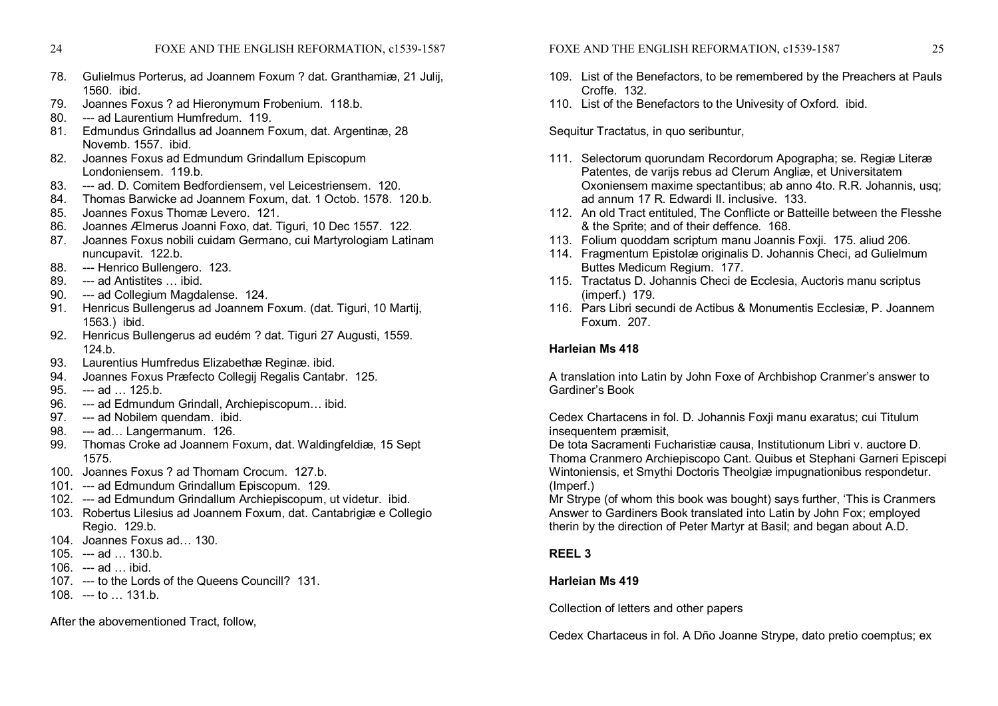- 78. Gulielmus Porterus, ad Joannem Foxum ? dat. Granthamiæ, 21 Julij, 1560. ibid.
- 79. Joannes Foxus ? ad Hieronymum Frobenium. 118.b.
- 80. **and Laurentium Humfredum.** 119
- 81. Edmundus Grindallus ad Joannem Foxum, dat. Argentinæ, 28 Novemb. 1557. ibid.
- 82. Joannes Foxus ad Edmundum Grindallum Episcopum Londoniensem. 119.b.
- 83. --- ad. D. Comitem Bedfordiensem, vel Leicestriensem. 120.
- 84. Thomas Barwicke ad Joannem Foxum, dat. 1 Octob. 1578. 120.b.
- 85. Joannes Foxus Thomæ Levero. 121.
- 86. Joannes Ælmerus Joanni Foxo, dat. Tiguri, 10 Dec 1557. 122.
- 87. Joannes Foxus nobili cuidam Germano, cui Martyrologiam Latinam nuncupavit. 122.b.
- 88. --- Henrico Bullengero. 123.
- 89. --- ad Antistites ... ibid.
- 90. --- ad Collegium Magdalense. 124.
- 91. Henricus Bullengerus ad Joannem Foxum. (dat. Tiguri, 10 Martij, 1563.) ibid.
- 92. Henricus Bullengerus ad eudém ? dat. Tiguri 27 Augusti, 1559. 124.b.
- 93. Laurentius Humfredus Elizabethæ Reginæ. ibid.
- 94. Joannes Foxus Præfecto Collegij Regalis Cantabr. 125.
- $95.$  --- ad  $.$  125.b.
- 96. --- ad Edmundum Grindall, Archiepiscopum... ibid.
- 97. --- ad Nobilem quendam. ibid.
- 98. --- ad... Langermanum. 126.
- 99. Thomas Croke ad Joannem Foxum, dat. Waldingfeldiæ, 15 Sept 1575.
- 100. Joannes Foxus ? ad Thomam Crocum. 127.b.
- 101. --- ad Edmundum Grindallum Episcopum. 129.
- 102. --- ad Edmundum Grindallum Archiepiscopum, ut videtur. ibid.
- 103. Robertus Lilesius ad Joannem Foxum, dat. Cantabrigiæ e Collegio Regio. 129.b.
- 104. Joannes Foxus ad… 130.
- $105$  ad  $130 b$
- 106.  $-$ -ad ... ibid.
- 107. --- to the Lords of the Queens Councill? 131.
- $108 t_0$  131 b

After the abovementioned Tract, follow,

FOXE AND THE ENGLISH REFORMATION, c1539-1587 25

- 109. List of the Benefactors, to be remembered by the Preachers at Pauls Croffe. 132.
- 110. List of the Benefactors to the Univesity of Oxford. ibid.

Sequitur Tractatus, in quo seribuntur,

- 111. Selectorum quorundam Recordorum Apographa; se. Regiæ Literæ Patentes, de varijs rebus ad Clerum Angliæ, et Universitatem Oxoniensem maxime spectantibus; ab anno 4to. R.R. Johannis, usq; ad annum 17 R. Edwardi II. inclusive. 133.
- 112. An old Tract entituled, The Conflicte or Batteille between the Flesshe & the Sprite; and of their deffence. 168.
- 113. Folium quoddam scriptum manu Joannis Foxji. 175. aliud 206.
- 114. Fragmentum Epistolæ originalis D. Johannis Checi, ad Gulielmum Buttes Medicum Regium. 177.
- 115. Tractatus D. Johannis Checi de Ecclesia, Auctoris manu scriptus (imperf.) 179.
- 116. Pars Libri secundi de Actibus & Monumentis Ecclesiæ, P. Joannem Foxum. 207.

#### **Harleian Ms 418**

A translation into Latin by John Foxe of Archbishop Cranmer's answer to Gardiner's Book

Cedex Chartacens in fol. D. Johannis Foxji manu exaratus; cui Titulum insequentem præmisit,

De tota Sacramenti Fucharistiæ causa, Institutionum Libri v. auctore D. Thoma Cranmero Archiepiscopo Cant. Quibus et Stephani Garneri Episcepi Wintoniensis, et Smythi Doctoris Theolgiæ impugnationibus respondetur. (Imperf.)

Mr Strype (of whom this book was bought) says further, 'This is Cranmers Answer to Gardiners Book translated into Latin by John Fox; employed therin by the direction of Peter Martyr at Basil; and began about A.D.

# **REEL 3**

# **Harleian Ms 419**

Collection of letters and other papers

Cedex Chartaceus in fol. A Dño Joanne Strype, dato pretio coemptus; ex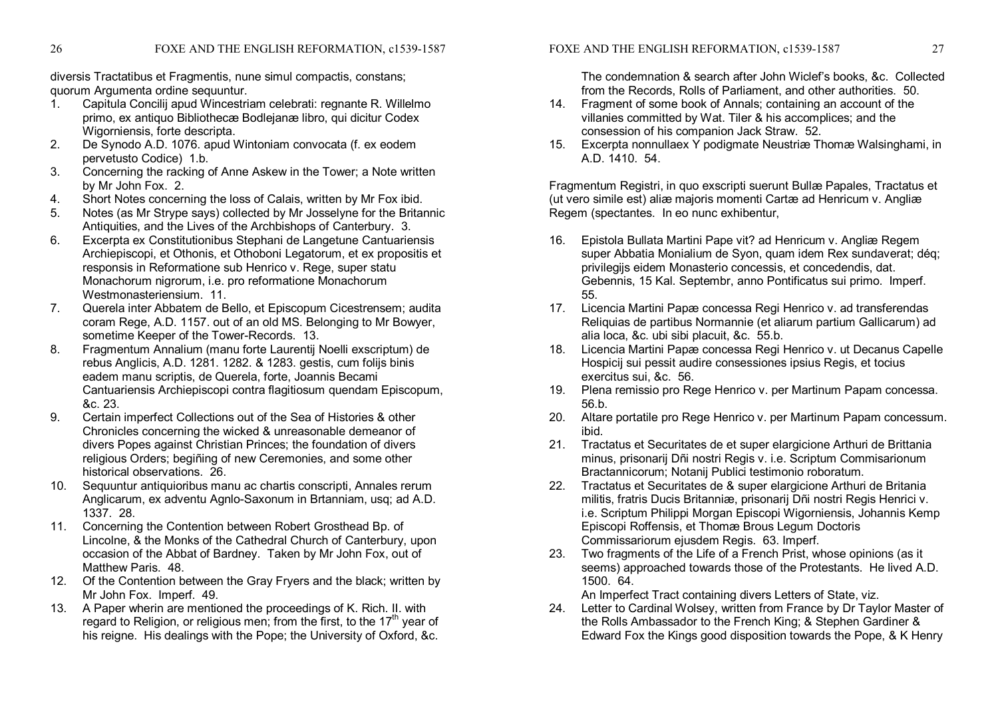diversis Tractatibus et Fragmentis, nune simul compactis, constans; quorum Argumenta ordine sequuntur.

- 1. Capitula Concilij apud Wincestriam celebrati: regnante R. Willelmo primo, ex antiquo Bibliothecæ Bodlejanæ libro, qui dicitur Codex Wigorniensis, forte descripta.
- 2. De Synodo A.D. 1076. apud Wintoniam convocata (f. ex eodem pervetusto Codice) 1.b.
- 3. Concerning the racking of Anne Askew in the Tower; a Note written by Mr John Fox. 2.
- 4. Short Notes concerning the loss of Calais, written by Mr Fox ibid.
- 5. Notes (as Mr Strype says) collected by Mr Josselyne for the Britannic Antiquities, and the Lives of the Archbishops of Canterbury. 3.
- 6. Excerpta ex Constitutionibus Stephani de Langetune Cantuariensis Archiepiscopi, et Othonis, et Othoboni Legatorum, et ex propositis et responsis in Reformatione sub Henrico v. Rege, super statu Monachorum nigrorum, i.e. pro reformatione Monachorum Westmonasteriensium. 11.
- 7. Querela inter Abbatem de Bello, et Episcopum Cicestrensem; audita coram Rege, A.D. 1157. out of an old MS. Belonging to Mr Bowyer, sometime Keeper of the Tower-Records. 13.
- 8. Fragmentum Annalium (manu forte Laurentij Noelli exscriptum) de rebus Anglicis, A.D. 1281. 1282. & 1283. gestis, cum folijs binis eadem manu scriptis, de Querela, forte, Joannis Becami Cantuariensis Archiepiscopi contra flagitiosum quendam Episcopum, &c. 23.
- 9. Certain imperfect Collections out of the Sea of Histories & other Chronicles concerning the wicked & unreasonable demeanor of divers Popes against Christian Princes; the foundation of divers religious Orders; begiñing of new Ceremonies, and some other historical observations. 26.
- 10. Sequuntur antiquioribus manu ac chartis conscripti, Annales rerum Anglicarum, ex adventu Agnio-Saxonum in Brtanniam, usq; ad A.D. 1337. 28.
- 11. Concerning the Contention between Robert Grosthead Bp. of Lincolne, & the Monks of the Cathedral Church of Canterbury, upon occasion of the Abbat of Bardney. Taken by Mr John Fox, out of Matthew Paris. 48.
- 12. Of the Contention between the Gray Fryers and the black; written by Mr John Fox. Imperf. 49.
- 13. A Paper wherin are mentioned the proceedings of K. Rich. II. with regard to Religion, or religious men; from the first, to the 17<sup>th</sup> year of his reigne. His dealings with the Pope; the University of Oxford, &c.

The condemnation & search after John Wiclef's books, &c. Collected from the Records, Rolls of Parliament, and other authorities. 50.

- 14. Fragment of some book of Annals; containing an account of the villanies committed by Wat. Tiler & his accomplices; and the consession of his companion Jack Straw. 52.
- 15. Excerpta nonnullaex Y podigmate Neustriæ Thomæ Walsinghami, in A.D. 1410. 54.

Fragmentum Registri, in quo exscripti suerunt Bullæ Papales, Tractatus et (ut vero simile est) aliæ majoris momenti Cartæ ad Henricum v. Angliæ Regem (spectantes. In eo nunc exhibentur,

- 16. Epistola Bullata Martini Pape vit? ad Henricum v. Angliæ Regem super Abbatia Monialium de Syon, quam idem Rex sundaverat; déq; privilegijs eidem Monasterio concessis, et concedendis, dat. Gebennis, 15 Kal. Septembr, anno Pontificatus sui primo. Imperf. 55.
- 17. Licencia Martini Papæ concessa Regi Henrico v. ad transferendas Reliquias de partibus Normannie (et aliarum partium Gallicarum) ad alia loca, &c. ubi sibi placuit, &c. 55.b.
- 18. Licencia Martini Papæ concessa Regi Henrico v. ut Decanus Capelle Hospicij sui pessit audire consessiones ipsius Regis, et tocius exercitus sui, &c. 56.
- 19. Plena remissio pro Rege Henrico v. per Martinum Papam concessa. 56.b.
- 20. Altare portatile pro Rege Henrico v. per Martinum Papam concessum. ibid.
- 21. Tractatus et Securitates de et super elargicione Arthuri de Brittania minus, prisonarij Dñi nostri Regis v. i.e. Scriptum Commisarionum Bractannicorum; Notanij Publici testimonio roboratum.
- 22. Tractatus et Securitates de & super elargicione Arthuri de Britania militis, fratris Ducis Britanniæ, prisonarij Dñi nostri Regis Henrici v. i.e. Scriptum Philippi Morgan Episcopi Wigorniensis, Johannis Kemp Episcopi Roffensis, et Thomæ Brous Legum Doctoris Commissariorum ejusdem Regis. 63. Imperf.
- 23. Two fragments of the Life of a French Prist, whose opinions (as it seems) approached towards those of the Protestants. He lived A.D. 1500. 64.

An Imperfect Tract containing divers Letters of State, viz.

24. Letter to Cardinal Wolsey, written from France by Dr Taylor Master of the Rolls Ambassador to the French King; & Stephen Gardiner & Edward Fox the Kings good disposition towards the Pope, & K Henry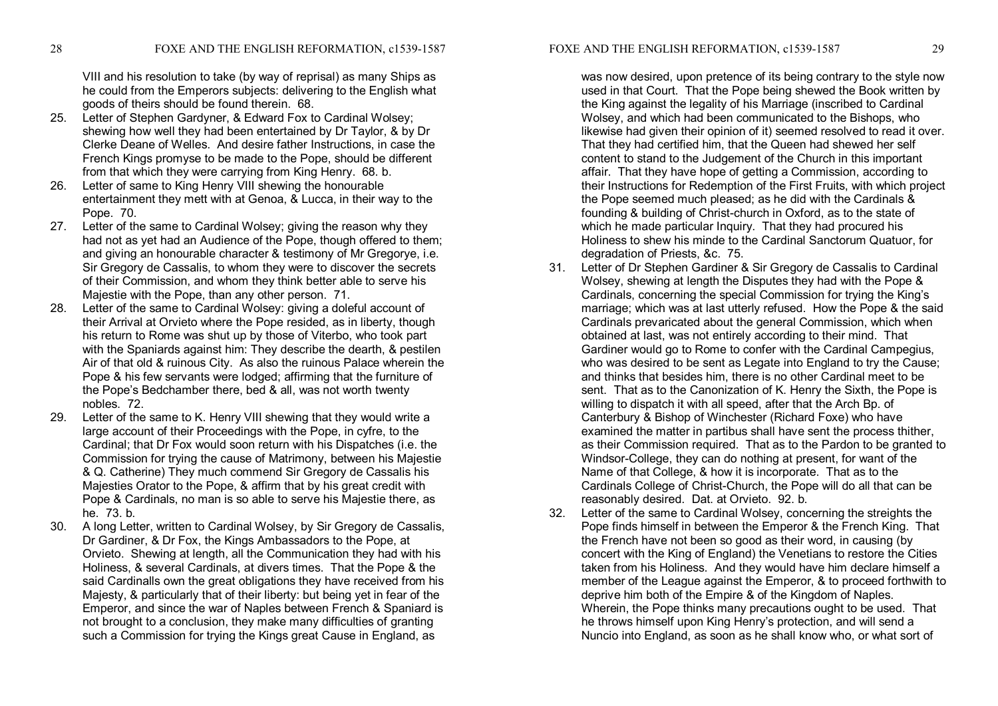FOXE AND THE ENGLISH REFORMATION, c1539-1587 29

VIII and his resolution to take (by way of reprisal) as many Ships as he could from the Emperors subjects: delivering to the English what goods of theirs should be found therein. 68.

- 25. Letter of Stephen Gardyner, & Edward Fox to Cardinal Wolsey; shewing how well they had been entertained by Dr Taylor, & by Dr Clerke Deane of Welles. And desire father Instructions, in case the French Kings promyse to be made to the Pope, should be different from that which they were carrying from King Henry. 68. b.
- 26. Letter of same to King Henry VIII shewing the honourable entertainment they mett with at Genoa, & Lucca, in their way to the Pope. 70.
- 27. Letter of the same to Cardinal Wolsey; giving the reason why they had not as yet had an Audience of the Pope, though offered to them; and giving an honourable character & testimony of Mr Gregorye, i.e. Sir Gregory de Cassalis, to whom they were to discover the secrets of their Commission, and whom they think better able to serve his Majestie with the Pope, than any other person. 71.
- 28. Letter of the same to Cardinal Wolsey: giving a doleful account of their Arrival at Orvieto where the Pope resided, as in liberty, though his return to Rome was shut up by those of Viterbo, who took part with the Spaniards against him: They describe the dearth, & pestilen Air of that old & ruinous City. As also the ruinous Palace wherein the Pope & his few servants were lodged; affirming that the furniture of the Pope's Bedchamber there, bed & all, was not worth twenty nobles. 72.
- 29. Letter of the same to K. Henry VIII shewing that they would write a large account of their Proceedings with the Pope, in cyfre, to the Cardinal; that Dr Fox would soon return with his Dispatches (i.e. the Commission for trying the cause of Matrimony, between his Majestie & Q. Catherine) They much commend Sir Gregory de Cassalis his Majesties Orator to the Pope, & affirm that by his great credit with Pope & Cardinals, no man is so able to serve his Majestie there, as he. 73. b.
- 30. A long Letter, written to Cardinal Wolsey, by Sir Gregory de Cassalis, Dr Gardiner, & Dr Fox, the Kings Ambassadors to the Pope, at Orvieto. Shewing at length, all the Communication they had with his Holiness, & several Cardinals, at divers times. That the Pope & the said Cardinalls own the great obligations they have received from his Majesty, & particularly that of their liberty: but being yet in fear of the Emperor, and since the war of Naples between French & Spaniard is not brought to a conclusion, they make many difficulties of granting such a Commission for trying the Kings great Cause in England, as

was now desired, upon pretence of its being contrary to the style now used in that Court. That the Pope being shewed the Book written by the King against the legality of his Marriage (inscribed to Cardinal Wolsey, and which had been communicated to the Bishops, who likewise had given their opinion of it) seemed resolved to read it over. That they had certified him, that the Queen had shewed her self content to stand to the Judgement of the Church in this important affair. That they have hope of getting a Commission, according to their Instructions for Redemption of the First Fruits, with which project the Pope seemed much pleased; as he did with the Cardinals & founding & building of Christ-church in Oxford, as to the state of which he made particular Inquiry. That they had procured his Holiness to shew his minde to the Cardinal Sanctorum Quatuor, for degradation of Priests, &c. 75.

- 31. Letter of Dr Stephen Gardiner & Sir Gregory de Cassalis to Cardinal Wolsey, shewing at length the Disputes they had with the Pope & Cardinals, concerning the special Commission for trying the King's marriage; which was at last utterly refused. How the Pope & the said Cardinals prevaricated about the general Commission, which when obtained at last, was not entirely according to their mind. That Gardiner would go to Rome to confer with the Cardinal Campegius, who was desired to be sent as Legate into England to try the Cause; and thinks that besides him, there is no other Cardinal meet to be sent. That as to the Canonization of K. Henry the Sixth, the Pope is willing to dispatch it with all speed, after that the Arch Bp. of Canterbury & Bishop of Winchester (Richard Foxe) who have examined the matter in partibus shall have sent the process thither, as their Commission required. That as to the Pardon to be granted to Windsor-College, they can do nothing at present, for want of the Name of that College, & how it is incorporate. That as to the Cardinals College of Christ-Church, the Pope will do all that can be reasonably desired. Dat. at Orvieto. 92. b.
- 32. Letter of the same to Cardinal Wolsey, concerning the streights the Pope finds himself in between the Emperor & the French King. That the French have not been so good as their word, in causing (by concert with the King of England) the Venetians to restore the Cities taken from his Holiness. And they would have him declare himself a member of the League against the Emperor, & to proceed forthwith to deprive him both of the Empire & of the Kingdom of Naples. Wherein, the Pope thinks many precautions ought to be used. That he throws himself upon King Henry's protection, and will send a Nuncio into England, as soon as he shall know who, or what sort of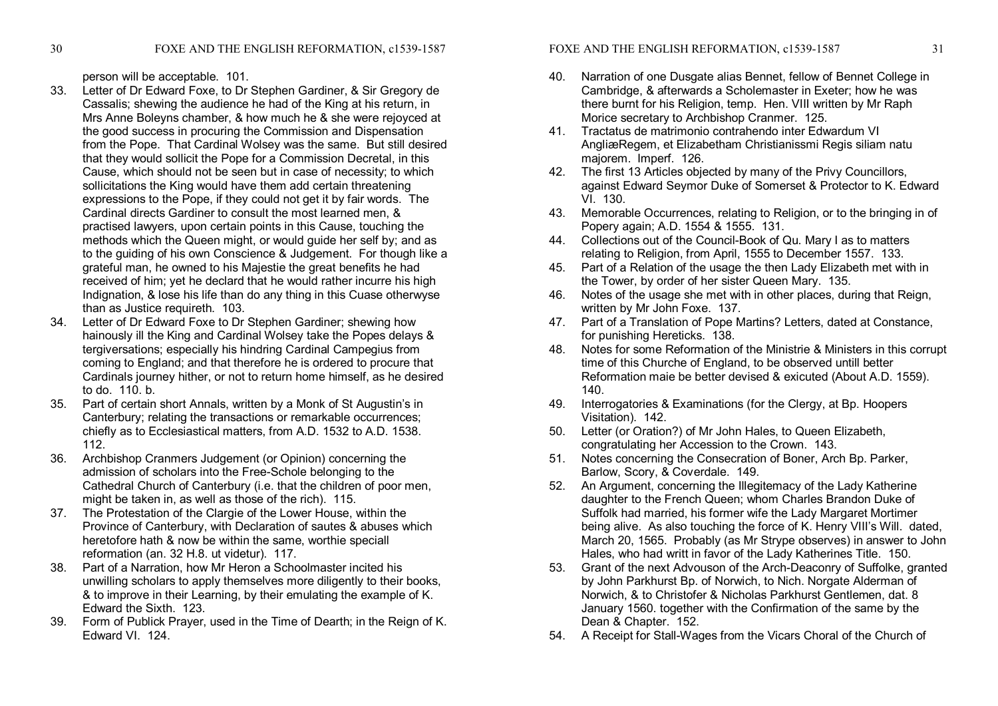person will be acceptable. 101.

- 33. Letter of Dr Edward Foxe, to Dr Stephen Gardiner, & Sir Gregory de Cassalis; shewing the audience he had of the King at his return, in Mrs Anne Boleyns chamber, & how much he & she were rejoyced at the good success in procuring the Commission and Dispensation from the Pope. That Cardinal Wolsey was the same. But still desired that they would sollicit the Pope for a Commission Decretal, in this Cause, which should not be seen but in case of necessity; to which sollicitations the King would have them add certain threatening expressions to the Pope, if they could not get it by fair words. The Cardinal directs Gardiner to consult the most learned men, & practised lawyers, upon certain points in this Cause, touching the methods which the Queen might, or would guide her self by; and as to the guiding of his own Conscience & Judgement. For though like a grateful man, he owned to his Majestie the great benefits he had received of him; yet he declard that he would rather incurre his high Indignation, & lose his life than do any thing in this Cuase otherwyse than as Justice requireth. 103.
- 34. Letter of Dr Edward Foxe to Dr Stephen Gardiner; shewing how hainously ill the King and Cardinal Wolsey take the Popes delays & tergiversations; especially his hindring Cardinal Campegius from coming to England; and that therefore he is ordered to procure that Cardinals journey hither, or not to return home himself, as he desired to do. 110. b.
- 35. Part of certain short Annals, written by a Monk of St Augustin's in Canterbury; relating the transactions or remarkable occurrences; chiefly as to Ecclesiastical matters, from A.D. 1532 to A.D. 1538. 112.
- 36. Archbishop Cranmers Judgement (or Opinion) concerning the admission of scholars into the Free-Schole belonging to the Cathedral Church of Canterbury (i.e. that the children of poor men, might be taken in, as well as those of the rich). 115.
- 37. The Protestation of the Clargie of the Lower House, within the Province of Canterbury, with Declaration of sautes & abuses which heretofore hath & now be within the same, worthie speciall reformation (an. 32 H.8. ut videtur). 117.
- 38. Part of a Narration, how Mr Heron a Schoolmaster incited his unwilling scholars to apply themselves more diligently to their books, & to improve in their Learning, by their emulating the example of K. Edward the Sixth. 123.
- 39. Form of Publick Prayer, used in the Time of Dearth; in the Reign of K. Edward VI. 124.
- 40. Narration of one Dusgate alias Bennet, fellow of Bennet College in Cambridge, & afterwards a Scholemaster in Exeter; how he was there burnt for his Religion, temp. Hen. VIII written by Mr Raph Morice secretary to Archbishop Cranmer. 125.
- 41. Tractatus de matrimonio contrahendo inter Edwardum VI AngliæRegem, et Elizabetham Christianissmi Regis siliam natu majorem. Imperf. 126.
- 42. The first 13 Articles objected by many of the Privy Councillors, against Edward Seymor Duke of Somerset & Protector to K. Edward VI. 130.
- 43. Memorable Occurrences, relating to Religion, or to the bringing in of Popery again; A.D. 1554 & 1555. 131.
- 44. Collections out of the Council-Book of Qu. Mary I as to matters relating to Religion, from April, 1555 to December 1557. 133.
- 45. Part of a Relation of the usage the then Lady Elizabeth met with in the Tower, by order of her sister Queen Mary. 135.
- 46. Notes of the usage she met with in other places, during that Reign, written by Mr John Foxe. 137.
- 47. Part of a Translation of Pope Martins? Letters, dated at Constance, for punishing Hereticks. 138.
- 48. Notes for some Reformation of the Ministrie & Ministers in this corrupt time of this Churche of England, to be observed untill better Reformation maie be better devised & exicuted (About A.D. 1559). 140.
- 49. Interrogatories & Examinations (for the Clergy, at Bp. Hoopers Visitation). 142.
- 50. Letter (or Oration?) of Mr John Hales, to Queen Elizabeth, congratulating her Accession to the Crown. 143.
- 51. Notes concerning the Consecration of Boner, Arch Bp. Parker, Barlow, Scory, & Coverdale. 149.
- 52. An Argument, concerning the Illegitemacy of the Lady Katherine daughter to the French Queen; whom Charles Brandon Duke of Suffolk had married, his former wife the Lady Margaret Mortimer being alive. As also touching the force of K. Henry VIII's Will. dated, March 20, 1565. Probably (as Mr Strype observes) in answer to John Hales, who had writt in favor of the Lady Katherines Title. 150.
- 53. Grant of the next Advouson of the Arch-Deaconry of Suffolke, granted by John Parkhurst Bp. of Norwich, to Nich. Norgate Alderman of Norwich, & to Christofer & Nicholas Parkhurst Gentlemen, dat. 8 January 1560. together with the Confirmation of the same by the Dean & Chapter. 152.
- 54. A Receipt for Stall-Wages from the Vicars Choral of the Church of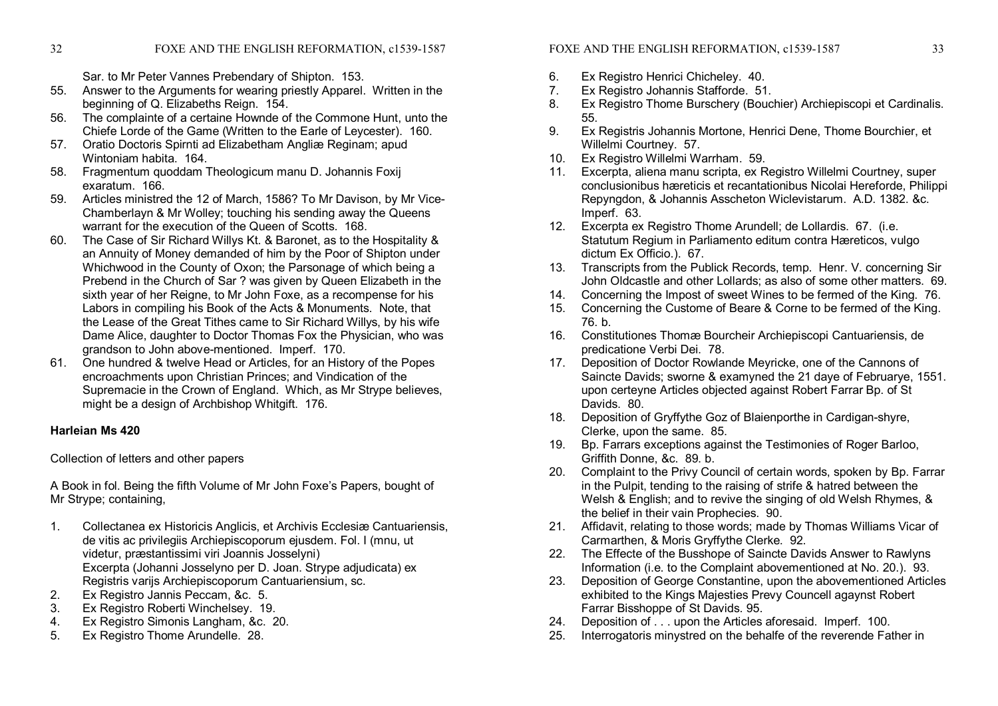Sar. to Mr Peter Vannes Prebendary of Shipton. 153.

- 55. Answer to the Arguments for wearing priestly Apparel. Written in the beginning of Q. Elizabeths Reign. 154.
- 56. The complainte of a certaine Hownde of the Commone Hunt, unto the Chiefe Lorde of the Game (Written to the Earle of Leycester). 160.
- 57. Oratio Doctoris Spirnti ad Elizabetham Angliæ Reginam; apud Wintoniam habita. 164.
- 58. Fragmentum quoddam Theologicum manu D. Johannis Foxij exaratum. 166.
- 59. Articles ministred the 12 of March, 1586? To Mr Davison, by Mr Vice Chamberlayn & Mr Wolley; touching his sending away the Queens warrant for the execution of the Queen of Scotts. 168.
- 60. The Case of Sir Richard Willys Kt. & Baronet, as to the Hospitality & an Annuity of Money demanded of him by the Poor of Shipton under Whichwood in the County of Oxon; the Parsonage of which being a Prebend in the Church of Sar ? was given by Queen Elizabeth in the sixth year of her Reigne, to Mr John Foxe, as a recompense for his Labors in compiling his Book of the Acts & Monuments. Note, that the Lease of the Great Tithes came to Sir Richard Willys, by his wife Dame Alice, daughter to Doctor Thomas Fox the Physician, who was grandson to John abovementioned. Imperf. 170.
- 61. One hundred & twelve Head or Articles, for an History of the Popes encroachments upon Christian Princes; and Vindication of the Supremacie in the Crown of England. Which, as Mr Strype believes, might be a design of Archbishop Whitgift. 176.

# **Harleian Ms 420**

Collection of letters and other papers

A Book in fol. Being the fifth Volume of Mr John Foxe's Papers, bought of Mr Strype; containing,

- 1. Collectanea ex Historicis Anglicis, et Archivis Ecclesiæ Cantuariensis, de vitis ac privilegiis Archiepiscoporum ejusdem. Fol. I (mnu, ut videtur, præstantissimi viri Joannis Josselyni) Excerpta (Johanni Josselyno per D. Joan. Strype adjudicata) ex Registris varijs Archiepiscoporum Cantuariensium, sc.
- 2. Ex Registro Jannis Peccam, &c. 5.
- 3. Ex Registro Roberti Winchelsey. 19.
- 4. Ex Registro Simonis Langham, &c. 20.
- 5. Ex Registro Thome Arundelle. 28.

# FOXE AND THE ENGLISH REFORMATION, c1539-1587 33

- 6. Ex Registro Henrici Chicheley. 40.<br>7. Ex Registro Johannis Stafforde. 51
- 7. Ex Registro Johannis Stafforde. 51.
- 8. Ex Registro Thome Burschery (Bouchier) Archiepiscopi et Cardinalis. 55.
- 9. Ex Registris Johannis Mortone, Henrici Dene, Thome Bourchier, et Willelmi Courtney. 57.
- 10. Ex Registro Willelmi Warrham. 59.
- 11. Excerpta, aliena manu scripta, ex Registro Willelmi Courtney, super conclusionibus hæreticis et recantationibus Nicolai Hereforde, Philippi Repyngdon, & Johannis Asscheton Wiclevistarum. A.D. 1382. &c. Imperf. 63.
- 12. Excerpta ex Registro Thome Arundell; de Lollardis. 67. (i.e. Statutum Regium in Parliamento editum contra Hæreticos, vulgo dictum Ex Officio.). 67.
- 13. Transcripts from the Publick Records, temp. Henr. V. concerning Sir John Oldcastle and other Lollards; as also of some other matters. 69.
- 14. Concerning the Impost of sweet Wines to be fermed of the King. 76.
- 15. Concerning the Custome of Beare & Corne to be fermed of the King. 76. b.
- 16. Constitutiones Thomæ Bourcheir Archiepiscopi Cantuariensis, de predicatione Verbi Dei. 78.
- 17. Deposition of Doctor Rowlande Meyricke, one of the Cannons of Saincte Davids; sworne & examyned the 21 daye of Februarye, 1551. upon certeyne Articles objected against Robert Farrar Bp. of St Davids. 80.
- 18. Deposition of Gryffythe Goz of Blaienporthe in Cardigan-shyre, Clerke, upon the same. 85.
- 19. Bp. Farrars exceptions against the Testimonies of Roger Barloo, Griffith Donne, &c. 89. b.
- 20. Complaint to the Privy Council of certain words, spoken by Bp. Farrar in the Pulpit, tending to the raising of strife & hatred between the Welsh & English; and to revive the singing of old Welsh Rhymes, & the belief in their vain Prophecies. 90.
- 21. Affidavit, relating to those words; made by Thomas Williams Vicar of Carmarthen, & Moris Gryffythe Clerke. 92.
- 22. The Effecte of the Busshope of Saincte Davids Answer to Rawlyns Information (i.e. to the Complaint abovementioned at No. 20.). 93.
- 23. Deposition of George Constantine, upon the abovementioned Articles exhibited to the Kings Majesties Prevy Councell agaynst Robert Farrar Bisshoppe of St Davids. 95.
- 24. Deposition of ... upon the Articles aforesaid. Imperf. 100.
- 25. Interrogatoris minystred on the behalfe of the reverende Father in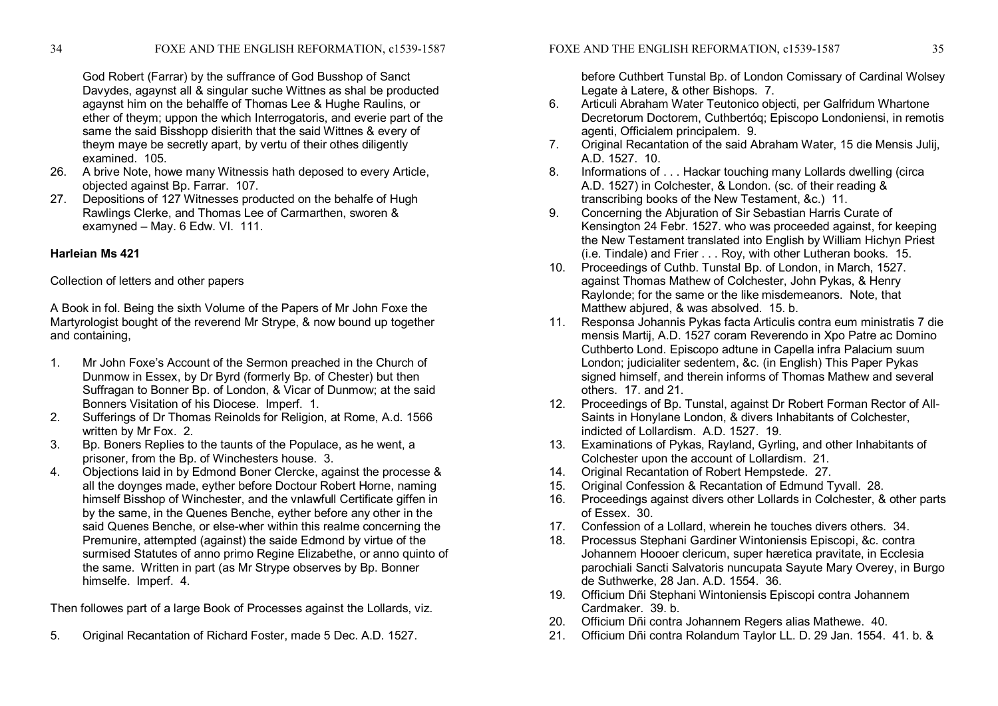God Robert (Farrar) by the suffrance of God Busshop of Sanct Davydes, agaynst all & singular suche Wittnes as shal be producted agaynst him on the behalffe of Thomas Lee & Hughe Raulins, or ether of theym; uppon the which Interrogatoris, and everie part of the same the said Bisshopp disierith that the said Wittnes & every of theym maye be secretly apart, by vertu of their othes diligently examined. 105.

- 26. A brive Note, howe many Witnessis hath deposed to every Article, objected against Bp. Farrar. 107.
- 27. Depositions of 127 Witnesses producted on the behalfe of Hugh Rawlings Clerke, and Thomas Lee of Carmarthen, sworen & examyned – May. 6 Edw. VI. 111.

# **Harleian Ms 421**

# Collection of letters and other papers

A Book in fol. Being the sixth Volume of the Papers of Mr John Foxe the Martyrologist bought of the reverend Mr Strype, & now bound up together and containing,

- 1. Mr John Foxe's Account of the Sermon preached in the Church of Dunmow in Essex, by Dr Byrd (formerly Bp. of Chester) but then Suffragan to Bonner Bp. of London, & Vicar of Dunmow; at the said Bonners Visitation of his Diocese. Imperf. 1.
- 2. Sufferings of Dr Thomas Reinolds for Religion, at Rome, A.d. 1566 written by Mr Fox. 2.
- 3. Bp. Boners Replies to the taunts of the Populace, as he went, a prisoner, from the Bp. of Winchesters house. 3.
- 4. Objections laid in by Edmond Boner Clercke, against the processe & all the doynges made, eyther before Doctour Robert Horne, naming himself Bisshop of Winchester, and the vnlawfull Certificate giffen in by the same, in the Quenes Benche, eyther before any other in the said Quenes Benche, or else-wher within this realme concerning the Premunire, attempted (against) the saide Edmond by virtue of the surmised Statutes of anno primo Regine Elizabethe, or anno quinto of the same. Written in part (as Mr Strype observes by Bp. Bonner himselfe. Imperf. 4.

Then followes part of a large Book of Processes against the Lollards, viz.

5. Original Recantation of Richard Foster, made 5 Dec. A.D. 1527.

before Cuthbert Tunstal Bp. of London Comissary of Cardinal Wolsey Legate à Latere, & other Bishops. 7.

- 6. Articuli Abraham Water Teutonico objecti, per Galfridum Whartone Decretorum Doctorem, Cuthbertóq; Episcopo Londoniensi, in remotis agenti, Officialem principalem. 9.
- 7. Original Recantation of the said Abraham Water, 15 die Mensis Julij, A.D. 1527. 10.
- 8. Informations of . . . Hackar touching many Lollards dwelling (circa A.D. 1527) in Colchester, & London. (sc. of their reading & transcribing books of the New Testament, &c.) 11.
- 9. Concerning the Abjuration of Sir Sebastian Harris Curate of Kensington 24 Febr. 1527. who was proceeded against, for keeping the New Testament translated into English by William Hichyn Priest (i.e. Tindale) and Frier . . . Roy, with other Lutheran books. 15.
- 10. Proceedings of Cuthb. Tunstal Bp. of London, in March, 1527. against Thomas Mathew of Colchester, John Pykas, & Henry Raylonde; for the same or the like misdemeanors. Note, that Matthew abjured, & was absolved. 15. b.
- 11. Responsa Johannis Pykas facta Articulis contra eum ministratis 7 die mensis Martij, A.D. 1527 coram Reverendo in Xpo Patre ac Domino Cuthberto Lond. Episcopo adtune in Capella infra Palacium suum London; judicialiter sedentem, &c. (in English) This Paper Pykas signed himself, and therein informs of Thomas Mathew and several others. 17. and 21.
- 12. Proceedings of Bp. Tunstal, against Dr Robert Forman Rector of All Saints in Honylane London, & divers Inhabitants of Colchester, indicted of Lollardism. A.D. 1527. 19.
- 13. Examinations of Pykas, Rayland, Gyrling, and other Inhabitants of Colchester upon the account of Lollardism. 21.
- 14. Original Recantation of Robert Hempstede. 27.
- 15. Original Confession & Recantation of Edmund Tyvall. 28.
- 16. Proceedings against divers other Lollards in Colchester, & other parts of Essex. 30.
- 17. Confession of a Lollard, wherein he touches divers others. 34.
- 18. Processus Stephani Gardiner Wintoniensis Episcopi, &c. contra Johannem Hoooer clericum, super hæretica pravitate, in Ecclesia parochiali Sancti Salvatoris nuncupata Sayute Mary Overey, in Burgo de Suthwerke, 28 Jan. A.D. 1554. 36.
- 19. Officium Dñi Stephani Wintoniensis Episcopi contra Johannem Cardmaker. 39. b.
- 20. Officium Dñi contra Johannem Regers alias Mathewe. 40.
- 21. Officium Dñi contra Rolandum Taylor LL. D. 29 Jan. 1554. 41. b. &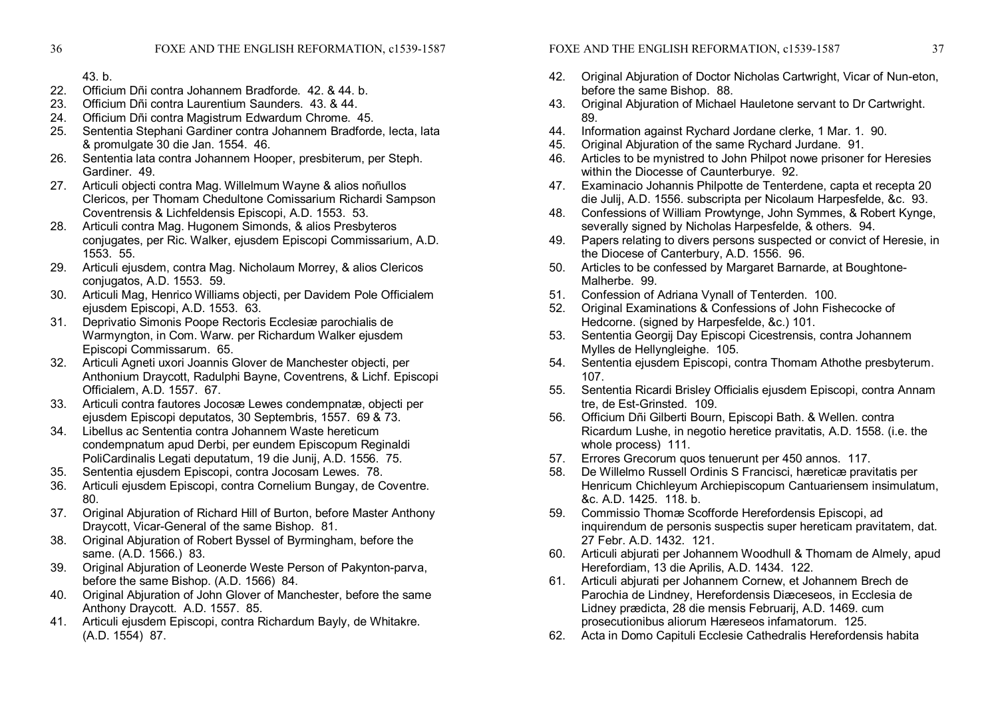- 22. Officium Dñi contra Johannem Bradforde. 42. & 44. b.
- 23. Officium Dñi contra Laurentium Saunders. 43. & 44.
- 24. Officium Dñi contra Magistrum Edwardum Chrome. 45.
- 25. Sententia Stephani Gardiner contra Johannem Bradforde, lecta, lata & promulgate 30 die Jan. 1554. 46.
- 26. Sententia lata contra Johannem Hooper, presbiterum, per Steph. Gardiner. 49.
- 27. Articuli objecti contra Mag. Willelmum Wayne & alios noñullos Clericos, per Thomam Chedultone Comissarium Richardi Sampson Coventrensis & Lichfeldensis Episcopi, A.D. 1553. 53.
- 28. Articuli contra Mag. Hugonem Simonds, & alios Presbyteros conjugates, per Ric. Walker, ejusdem Episcopi Commissarium, A.D. 1553. 55.
- 29. Articuli ejusdem, contra Mag. Nicholaum Morrey, & alios Clericos conjugatos, A.D. 1553. 59.
- 30. Articuli Mag, Henrico Williams objecti, per Davidem Pole Officialem ejusdem Episcopi, A.D. 1553. 63.
- 31. Deprivatio Simonis Poope Rectoris Ecclesiæ parochialis de Warmyngton, in Com. Warw. per Richardum Walker ejusdem Episcopi Commissarum. 65.
- 32. Articuli Agneti uxori Joannis Glover de Manchester objecti, per Anthonium Draycott, Radulphi Bayne, Coventrens, & Lichf. Episcopi Officialem, A.D. 1557. 67.
- 33. Articuli contra fautores Jocosæ Lewes condempnatæ, objecti per ejusdem Episcopi deputatos, 30 Septembris, 1557, 69 & 73.
- 34. Libellus ac Sententia contra Johannem Waste hereticum condempnatum apud Derbi, per eundem Episcopum Reginaldi PoliCardinalis Legati deputatum, 19 die Junij, A.D. 1556. 75.
- 35. Sententia ejusdem Episcopi, contra Jocosam Lewes. 78.
- 36. Articuli ejusdem Episcopi, contra Cornelium Bungay, de Coventre. 80.
- 37. Original Abjuration of Richard Hill of Burton, before Master Anthony Draycott, Vicar-General of the same Bishop. 81.
- 38. Original Abjuration of Robert Byssel of Byrmingham, before the same. (A.D. 1566.) 83.
- 39. Original Abjuration of Leonerde Weste Person of Pakynton-parva, before the same Bishop. (A.D. 1566) 84.
- 40. Original Abjuration of John Glover of Manchester, before the same Anthony Draycott. A.D. 1557. 85.
- 41. Articuli ejusdem Episcopi, contra Richardum Bayly, de Whitakre. (A.D. 1554) 87.
- 42. Original Abjuration of Doctor Nicholas Cartwright, Vicar of Nun-eton, before the same Bishop. 88.
- 43. Original Abjuration of Michael Hauletone servant to Dr Cartwright. 89.
- 44. Information against Rychard Jordane clerke, 1 Mar. 1. 90.
- 45. Original Abjuration of the same Rychard Jurdane. 91.
- 46. Articles to be mynistred to John Philpot nowe prisoner for Heresies within the Diocesse of Caunterburye. 92.
- 47. Examinacio Johannis Philpotte de Tenterdene, capta et recepta 20 die Julij, A.D. 1556. subscripta per Nicolaum Harpesfelde, &c. 93.
- 48. Confessions of William Prowtynge, John Symmes, & Robert Kynge, severally signed by Nicholas Harpesfelde, & others. 94.
- 49. Papers relating to divers persons suspected or convict of Heresie, in the Diocese of Canterbury, A.D. 1556. 96.
- 50. Articles to be confessed by Margaret Barnarde, at Boughtone Malherbe. 99.
- 51. Confession of Adriana Vynall of Tenterden. 100.
- 52. Original Examinations & Confessions of John Fishecocke of Hedcorne. (signed by Harpesfelde, &c.) 101.
- 53. Sententia Georgij Day Episcopi Cicestrensis, contra Johannem Mylles de Hellyngleighe. 105.
- 54. Sententia ejusdem Episcopi, contra Thomam Athothe presbyterum. 107.
- 55. Sententia Ricardi Brisley Officialis ejusdem Episcopi, contra Annam tre, de Est-Grinsted. 109.
- 56. Officium Dñi Gilberti Bourn, Episcopi Bath. & Wellen. contra Ricardum Lushe, in negotio heretice pravitatis, A.D. 1558. (i.e. the whole process) 111.
- 57. Errores Grecorum quos tenuerunt per 450 annos. 117.
- 58. De Willelmo Russell Ordinis S Francisci, hæreticæ pravitatis per Henricum Chichleyum Archiepiscopum Cantuariensem insimulatum, &c. A.D. 1425. 118. b.
- 59. Commissio Thomæ Scofforde Herefordensis Episcopi, ad inquirendum de personis suspectis super hereticam pravitatem, dat. 27 Febr. A.D. 1432. 121.
- 60. Articuli abjurati per Johannem Woodhull & Thomam de Almely, apud Herefordiam, 13 die Aprilis, A.D. 1434. 122.
- 61. Articuli abjurati per Johannem Cornew, et Johannem Brech de Parochia de Lindney, Herefordensis Diæceseos, in Ecclesia de Lidney prædicta, 28 die mensis Februarij, A.D. 1469. cum prosecutionibus aliorum Hæreseos infamatorum. 125.
- 62. Acta in Domo Capituli Ecclesie Cathedralis Herefordensis habita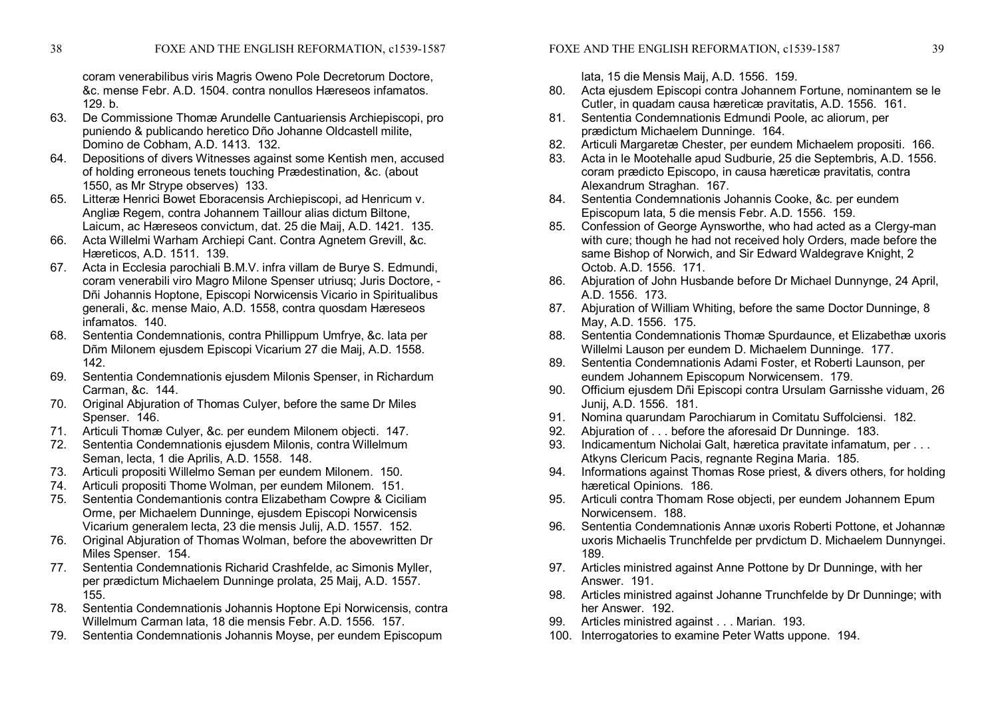coram venerabilibus viris Magris Oweno Pole Decretorum Doctore, &c. mense Febr. A.D. 1504. contra nonullos Hæreseos infamatos. 129. b.

- 63. De Commissione Thomæ Arundelle Cantuariensis Archiepiscopi, pro puniendo & publicando heretico Dño Johanne Oldcastell milite, Domino de Cobham, A.D. 1413. 132.
- 64. Depositions of divers Witnesses against some Kentish men, accused of holding erroneous tenets touching Prædestination, &c. (about 1550, as Mr Strype observes) 133.
- 65. Litteræ Henrici Bowet Eboracensis Archiepiscopi, ad Henricum v. Angliæ Regem, contra Johannem Taillour alias dictum Biltone, Laicum, ac Hæreseos convictum, dat. 25 die Maij, A.D. 1421. 135.
- 66. Acta Willelmi Warham Archiepi Cant. Contra Agnetem Grevill, &c. Hæreticos, A.D. 1511. 139.
- 67. Acta in Ecclesia parochiali B.M.V. infra villam de Burye S. Edmundi, coram venerabili viro Magro Milone Spenser utriusq; Juris Doctore, Dñi Johannis Hoptone, Episcopi Norwicensis Vicario in Spiritualibus generali, &c. mense Maio, A.D. 1558, contra quosdam Hæreseos infamatos. 140.
- 68. Sententia Condemnationis, contra Phillippum Umfrye, &c. lata per Dñm Milonem ejusdem Episcopi Vicarium 27 die Maij, A.D. 1558. 142.
- 69. Sententia Condemnationis ejusdem Milonis Spenser, in Richardum Carman, &c. 144.
- 70. Original Abjuration of Thomas Culyer, before the same Dr Miles Spenser. 146.
- 71. Articuli Thomæ Culyer, &c. per eundem Milonem objecti. 147.
- 72. Sententia Condemnationis ejusdem Milonis, contra Willelmum Seman, lecta, 1 die Aprilis, A.D. 1558. 148.
- 73. Articuli propositi Willelmo Seman per eundem Milonem. 150.
- 74. Articuli propositi Thome Wolman, per eundem Milonem. 151.
- 75. Sententia Condemantionis contra Elizabetham Cowpre & Ciciliam Orme, per Michaelem Dunninge, ejusdem Episcopi Norwicensis Vicarium generalem lecta, 23 die mensis Julij, A.D. 1557. 152.
- 76. Original Abjuration of Thomas Wolman, before the abovewritten Dr Miles Spenser. 154.
- 77. Sententia Condemnationis Richarid Crashfelde, ac Simonis Myller, per prædictum Michaelem Dunninge prolata, 25 Maij, A.D. 1557. 155.
- 78. Sententia Condemnationis Johannis Hoptone Epi Norwicensis, contra Willelmum Carman lata, 18 die mensis Febr. A.D. 1556. 157.
- 79. Sententia Condemnationis Johannis Moyse, per eundem Episcopum

lata, 15 die Mensis Maij, A.D. 1556. 159.

- 80. Acta ejusdem Episcopi contra Johannem Fortune, nominantem se le Cutler, in quadam causa hæreticæ pravitatis, A.D. 1556. 161.
- 81. Sententia Condemnationis Edmundi Poole, ac aliorum, per prædictum Michaelem Dunninge. 164.
- 82. Articuli Margaretæ Chester, per eundem Michaelem propositi. 166.
- 83. Acta in le Mootehalle apud Sudburie, 25 die Septembris, A.D. 1556. coram prædicto Episcopo, in causa hæreticæ pravitatis, contra Alexandrum Straghan. 167.
- 84. Sententia Condemnationis Johannis Cooke, &c. per eundem Episcopum lata, 5 die mensis Febr. A.D. 1556. 159.
- 85. Confession of George Aynsworthe, who had acted as a Clergy-man with cure; though he had not received holy Orders, made before the same Bishop of Norwich, and Sir Edward Waldegrave Knight, 2 Octob. A.D. 1556. 171.
- 86. Abjuration of John Husbande before Dr Michael Dunnynge, 24 April, A.D. 1556. 173.
- 87. Abjuration of William Whiting, before the same Doctor Dunninge, 8 May, A.D. 1556. 175.
- 88. Sententia Condemnationis Thomæ Spurdaunce, et Elizabethæ uxoris Willelmi Lauson per eundem D. Michaelem Dunninge. 177.
- 89. Sententia Condemnationis Adami Foster, et Roberti Launson, per eundem Johannem Episcopum Norwicensem. 179.
- 90. Officium ejusdem Dñi Episcopi contra Ursulam Garnisshe viduam, 26 Junij, A.D. 1556. 181.
- 91. Nomina quarundam Parochiarum in Comitatu Suffolciensi. 182.
- 92. Abjuration of . . . before the aforesaid Dr Dunninge. 183.
- 93. Indicamentum Nicholai Galt, hæretica pravitate infamatum, per ... Atkyns Clericum Pacis, regnante Regina Maria. 185.
- 94. Informations against Thomas Rose priest, & divers others, for holding hæretical Opinions. 186.
- 95. Articuli contra Thomam Rose objecti, per eundem Johannem Epum Norwicensem. 188.
- 96. Sententia Condemnationis Annæ uxoris Roberti Pottone, et Johannæ uxoris Michaelis Trunchfelde per prvdictum D. Michaelem Dunnyngei. 189.
- 97. Articles ministred against Anne Pottone by Dr Dunninge, with her Answer. 191.
- 98. Articles ministred against Johanne Trunchfelde by Dr Dunninge; with her Answer. 192.
- 99. Articles ministred against . . . Marian. 193.
- 100. Interrogatories to examine Peter Watts uppone. 194.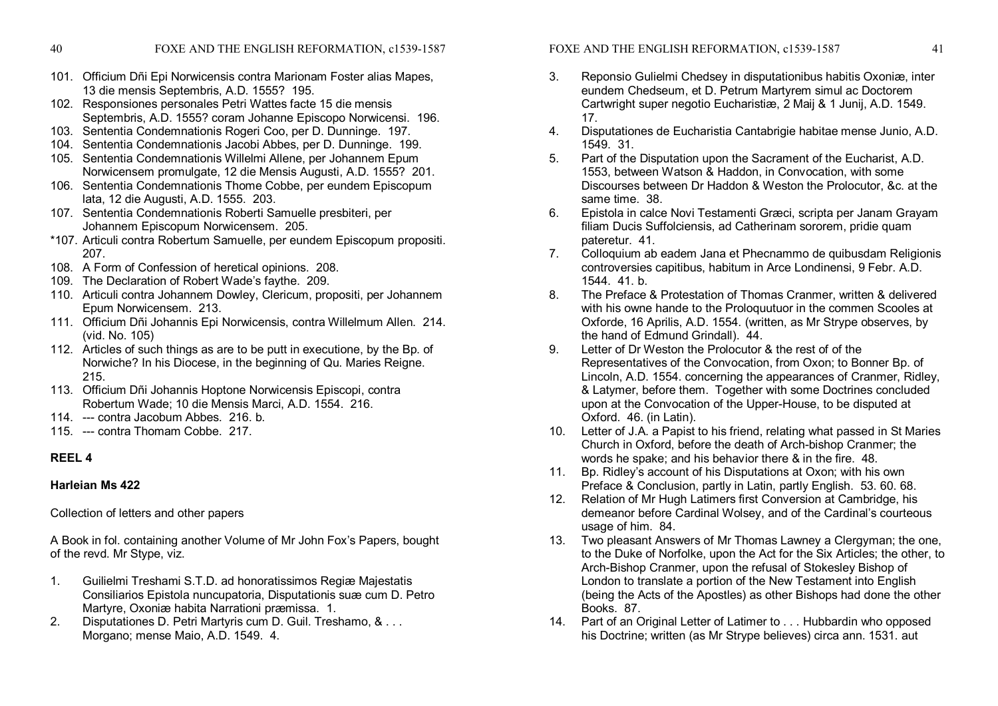- 
- 40 FOXE AND THE ENGLISH REFORMATION, c1539-1587
- 101. Officium Dñi Epi Norwicensis contra Marionam Foster alias Mapes, 13 die mensis Septembris, A.D. 1555? 195.
- 102. Responsiones personales Petri Wattes facte 15 die mensis Septembris, A.D. 1555? coram Johanne Episcopo Norwicensi. 196.
- 103. Sententia Condemnationis Rogeri Coo, per D. Dunninge. 197.
- 104. Sententia Condemnationis Jacobi Abbes, per D. Dunninge. 199.
- 105. Sententia Condemnationis Willelmi Allene, per Johannem Epum Norwicensem promulgate, 12 die Mensis Augusti, A.D. 1555? 201.
- 106. Sententia Condemnationis Thome Cobbe, per eundem Episcopum lata, 12 die Augusti, A.D. 1555. 203.
- 107. Sententia Condemnationis Roberti Samuelle presbiteri, per Johannem Episcopum Norwicensem. 205.
- \*107. Articuli contra Robertum Samuelle, per eundem Episcopum propositi. 207.
- 108. A Form of Confession of heretical opinions. 208.
- 109. The Declaration of Robert Wade's faythe. 209.
- 110. Articuli contra Johannem Dowley, Clericum, propositi, per Johannem Epum Norwicensem. 213.
- 111. Officium Dñi Johannis Epi Norwicensis, contra Willelmum Allen. 214. (vid. No. 105)
- 112. Articles of such things as are to be putt in executione, by the Bp. of Norwiche? In his Diocese, in the beginning of Qu. Maries Reigne. 215.
- 113. Officium Dñi Johannis Hoptone Norwicensis Episcopi, contra Robertum Wade; 10 die Mensis Marci, A.D. 1554. 216.
- 114. --- contra Jacobum Abbes. 216. b.
- 115. --- contra Thomam Cobbe. 217.

# **REEL 4**

# **Harleian Ms 422**

Collection of letters and other papers

A Book in fol. containing another Volume of Mr John Fox's Papers, bought of the revd. Mr Stype, viz.

- 1. Guilielmi Treshami S.T.D. ad honoratissimos Regiæ Majestatis Consiliarios Epistola nuncupatoria, Disputationis suæ cum D. Petro Martyre, Oxoniæ habita Narrationi præmissa. 1.
- 2. Disputationes D. Petri Martyris cum D. Guil. Treshamo, & . . . Morgano; mense Maio, A.D. 1549. 4.
- 3. Reponsio Gulielmi Chedsey in disputationibus habitis Oxoniæ, inter eundem Chedseum, et D. Petrum Martyrem simul ac Doctorem Cartwright super negotio Eucharistiæ, 2 Maij & 1 Junij, A.D. 1549. 17.
- 4. Disputationes de Eucharistia Cantabrigie habitae mense Junio, A.D. 1549. 31.
- 5. Part of the Disputation upon the Sacrament of the Eucharist, A.D. 1553, between Watson & Haddon, in Convocation, with some Discourses between Dr Haddon & Weston the Prolocutor, &c. at the same time. 38.
- 6. Epistola in calce Novi Testamenti Græci, scripta per Janam Grayam filiam Ducis Suffolciensis, ad Catherinam sororem, pridie quam pateretur. 41.
- 7. Colloquium ab eadem Jana et Phecnammo de quibusdam Religionis controversies capitibus, habitum in Arce Londinensi, 9 Febr. A.D. 1544. 41. b.
- 8. The Preface & Protestation of Thomas Cranmer, written & delivered with his owne hande to the Proloquutuor in the commen Scooles at Oxforde, 16 Aprilis, A.D. 1554. (written, as Mr Strype observes, by the hand of Edmund Grindall). 44.
- 9. Letter of Dr Weston the Prolocutor & the rest of of the Representatives of the Convocation, from Oxon; to Bonner Bp. of Lincoln, A.D. 1554. concerning the appearances of Cranmer, Ridley, & Latymer, before them. Together with some Doctrines concluded upon at the Convocation of the Upper-House, to be disputed at Oxford. 46. (in Latin).
- 10. Letter of J.A. a Papist to his friend, relating what passed in St Maries Church in Oxford, before the death of Arch-bishop Cranmer; the words he spake; and his behavior there & in the fire. 48.
- 11. Bp. Ridley's account of his Disputations at Oxon; with his own Preface & Conclusion, partly in Latin, partly English. 53. 60. 68.
- 12. Relation of Mr Hugh Latimers first Conversion at Cambridge, his demeanor before Cardinal Wolsey, and of the Cardinal's courteous usage of him. 84.
- 13. Two pleasant Answers of Mr Thomas Lawney a Clergyman; the one, to the Duke of Norfolke, upon the Act for the Six Articles; the other, to Arch-Bishop Cranmer, upon the refusal of Stokesley Bishop of London to translate a portion of the New Testament into English (being the Acts of the Apostles) as other Bishops had done the other Books. 87.
- 14. Part of an Original Letter of Latimer to . . . Hubbardin who opposed his Doctrine; written (as Mr Strype believes) circa ann. 1531. aut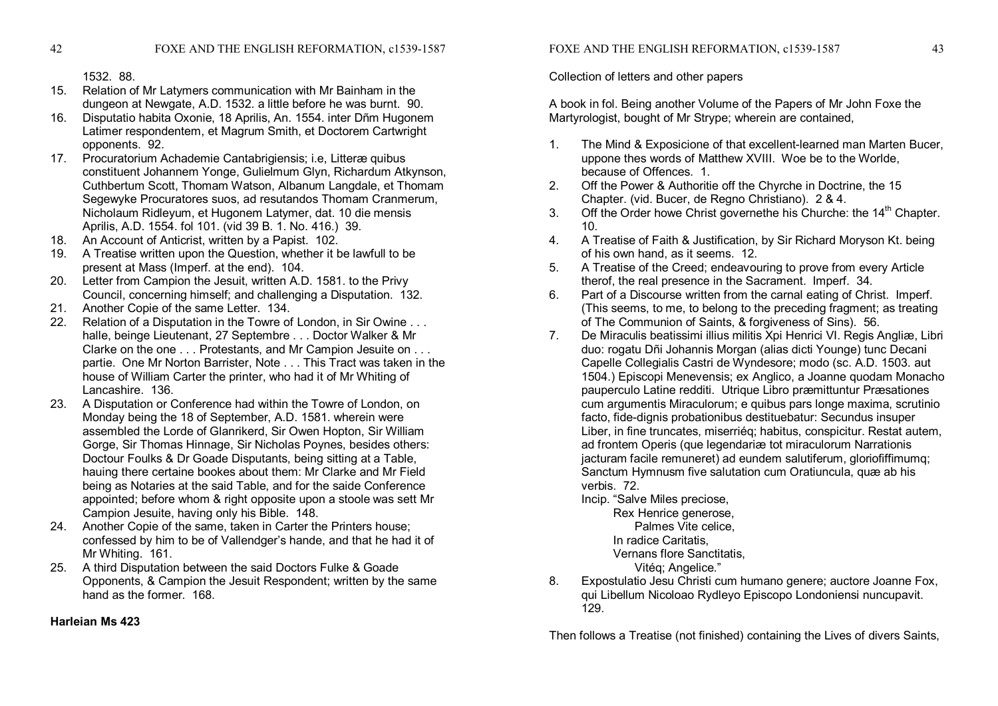1532. 88.

- 15. Relation of Mr Latymers communication with Mr Bainham in the dungeon at Newgate, A.D. 1532. a little before he was burnt. 90.
- 16. Disputatio habita Oxonie, 18 Aprilis, An. 1554. inter Dñm Hugonem Latimer respondentem, et Magrum Smith, et Doctorem Cartwright opponents. 92.
- 17. Procuratorium Achademie Cantabrigiensis; i.e, Litteræ quibus constituent Johannem Yonge, Gulielmum Glyn, Richardum Atkynson, Cuthbertum Scott, Thomam Watson, Albanum Langdale, et Thomam Segewyke Procuratores suos, ad resutandos Thomam Cranmerum, Nicholaum Ridleyum, et Hugonem Latymer, dat. 10 die mensis Aprilis, A.D. 1554. fol 101. (vid 39 B. 1. No. 416.) 39.
- 18. An Account of Anticrist, written by a Papist. 102.
- 19. A Treatise written upon the Question, whether it be lawfull to be present at Mass (Imperf. at the end). 104.
- 20. Letter from Campion the Jesuit, written A.D. 1581. to the Privy Council, concerning himself; and challenging a Disputation. 132.
- 21. Another Copie of the same Letter. 134.
- 22. Relation of a Disputation in the Towre of London, in Sir Owine . . . halle, beinge Lieutenant, 27 Septembre . . . Doctor Walker & Mr Clarke on the one . . . Protestants, and Mr Campion Jesuite on . . . partie. One Mr Norton Barrister, Note . . . This Tract was taken in the house of William Carter the printer, who had it of Mr Whiting of Lancashire. 136.
- 23. A Disputation or Conference had within the Towre of London, on Monday being the 18 of September, A.D. 1581. wherein were assembled the Lorde of Glanrikerd, Sir Owen Hopton, Sir William Gorge, Sir Thomas Hinnage, Sir Nicholas Poynes, besides others: Doctour Foulks & Dr Goade Disputants, being sitting at a Table, hauing there certaine bookes about them: Mr Clarke and Mr Field being as Notaries at the said Table, and for the saide Conference appointed; before whom & right opposite upon a stoole was sett Mr Campion Jesuite, having only his Bible. 148.
- 24. Another Copie of the same, taken in Carter the Printers house; confessed by him to be of Vallendger's hande, and that he had it of Mr Whiting. 161.
- 25. A third Disputation between the said Doctors Fulke & Goade Opponents, & Campion the Jesuit Respondent; written by the same hand as the former. 168
- **Harleian Ms 423**

Collection of letters and other papers

A book in fol. Being another Volume of the Papers of Mr John Foxe the Martyrologist, bought of Mr Strype; wherein are contained,

- 1. The Mind & Exposicione of that excellent-learned man Marten Bucer, uppone thes words of Matthew XVIII. Woe be to the Worlde, because of Offences. 1.
- 2. Off the Power & Authoritie off the Chyrche in Doctrine, the 15 Chapter. (vid. Bucer, de Regno Christiano). 2 & 4.
- 3. Off the Order howe Christ governethe his Churche: the  $14<sup>th</sup>$  Chapter. 10.
- 4. A Treatise of Faith & Justification, by Sir Richard Moryson Kt. being of his own hand, as it seems. 12.
- 5. A Treatise of the Creed; endeavouring to prove from every Article therof, the real presence in the Sacrament. Imperf. 34.
- 6. Part of a Discourse written from the carnal eating of Christ. Imperf. (This seems, to me, to belong to the preceding fragment; as treating of The Communion of Saints, & forgiveness of Sins). 56.
- 7. De Miraculis beatissimi illius militis Xpi Henrici VI. Regis Angliæ, Libri duo: rogatu Dñi Johannis Morgan (alias dicti Younge) tunc Decani Capelle Collegialis Castri de Wyndesore; modo (sc. A.D. 1503. aut 1504.) Episcopi Menevensis; ex Anglico, a Joanne quodam Monacho pauperculo Latine redditi. Utrique Libro præmittuntur Præsationes cum argumentis Miraculorum; e quibus pars longe maxima, scrutinio facto, fide-dignis probationibus destituebatur: Secundus insuper Liber, in fine truncates, miserriéq; habitus, conspicitur. Restat autem, ad frontem Operis (que legendariæ tot miraculorum Narrationis jacturam facile remuneret) ad eundem salutiferum, gloriofiffimumq; Sanctum Hymnusm five salutation cum Oratiuncula, quæ ab his verbis. 72.
	- Incip. "Salve Miles preciose,

Rex Henrice generose, Palmes Vite celice, In radice Caritatis, Vernans flore Sanctitatis, Vitéq; Angelice."

8. Expostulatio Jesu Christi cum humano genere; auctore Joanne Fox, qui Libellum Nicoloao Rydleyo Episcopo Londoniensi nuncupavit. 129.

Then follows a Treatise (not finished) containing the Lives of divers Saints,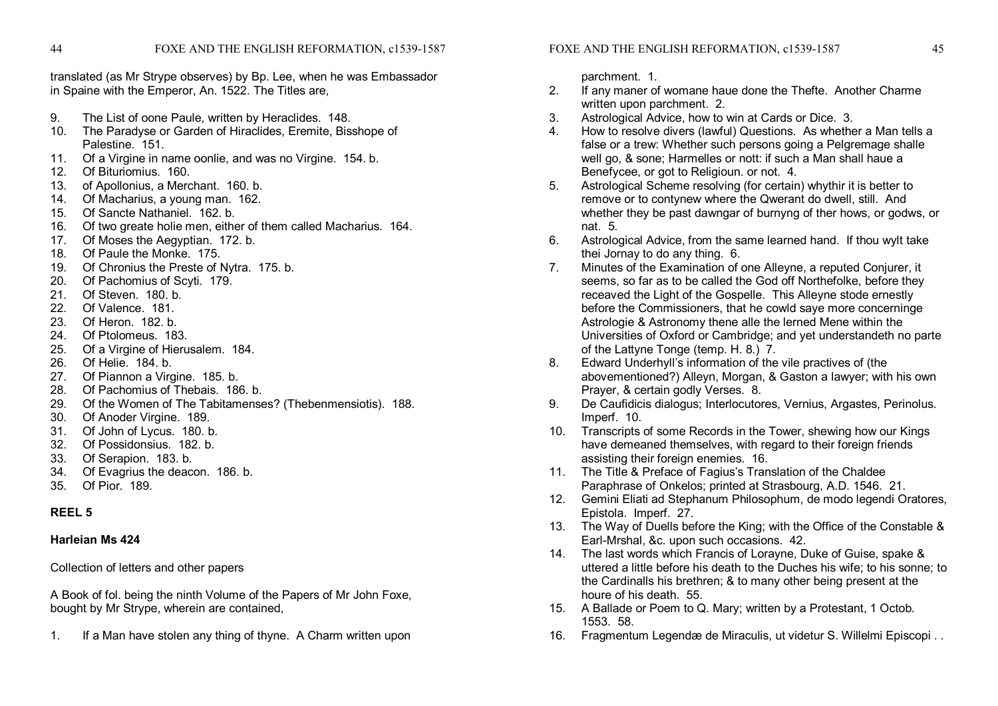translated (as Mr Strype observes) by Bp. Lee, when he was Embassador in Spaine with the Emperor, An. 1522. The Titles are,

- 9. The List of oone Paule, written by Heraclides. 148.
- 10. The Paradyse or Garden of Hiraclides, Eremite, Bisshope of Palestine. 151.
- 11. Of a Virgine in name oonlie, and was no Virgine. 154. b.
- 12. Of Bituriomius. 160.
- 13. of Apollonius, a Merchant. 160. b.
- 14. Of Macharius, a young man. 162.
- 15. Of Sancte Nathaniel. 162. b.
- 16. Of two greate holie men, either of them called Macharius. 164.
- 17. Of Moses the Aegyptian. 172. b.
- 18. Of Paule the Monke. 175.
- 19. Of Chronius the Preste of Nytra. 175. b.
- 20. Of Pachomius of Scyti. 179.
- 21. Of Steven. 180. b.
- 22. Of Valence. 181.
- 23. Of Heron. 182. b.
- 24. Of Ptolomeus. 183.
- 25. Of a Virgine of Hierusalem. 184.
- 26. Of Helie. 184. b.
- 27. Of Piannon a Virgine. 185. b.
- 28. Of Pachomius of Thebais. 186. b.
- 29. Of the Women of The Tabitamenses? (Thebenmensiotis). 188.
- 30. Of Anoder Virgine. 189.
- 31. Of John of Lycus. 180. b.
- 32. Of Possidonsius. 182. b.
- 33. Of Serapion. 183. b.
- 34. Of Evagrius the deacon. 186. b.
- 35. Of Pior. 189.

#### **REEL 5**

#### **Harleian Ms 424**

Collection of letters and other papers

A Book of fol. being the ninth Volume of the Papers of Mr John Foxe, bought by Mr Strype, wherein are contained,

1. If a Man have stolen any thing of thyne. A Charm written upon

parchment. 1.

- 2. If any maner of womane haue done the Thefte. Another Charme written upon parchment. 2.
- 3. Astrological Advice, how to win at Cards or Dice. 3.
- 4. How to resolve divers (lawful) Questions. As whether a Man tells a false or a trew: Whether such persons going a Pelgremage shalle well go, & sone: Harmelles or nott: if such a Man shall haue a Benefycee, or got to Religioun. or not. 4.
- 5. Astrological Scheme resolving (for certain) whythir it is better to remove or to contynew where the Qwerant do dwell, still. And whether they be past dawngar of burnyng of ther hows, or godws, or nat. 5.
- 6. Astrological Advice, from the same learned hand. If thou wylt take thei Jornay to do any thing. 6.
- 7. Minutes of the Examination of one Alleyne, a reputed Conjurer, it seems, so far as to be called the God off Northefolke, before they receaved the Light of the Gospelle. This Alleyne stode ernestly before the Commissioners, that he cowld saye more concerninge Astrologie & Astronomy thene alle the lerned Mene within the Universities of Oxford or Cambridge; and yet understandeth no parte of the Lattyne Tonge (temp. H. 8.) 7.
- 8. Edward Underhyll's information of the vile practives of (the abovementioned?) Alleyn, Morgan, & Gaston a lawyer; with his own Prayer, & certain godly Verses. 8.
- 9. De Caufidicis dialogus; Interlocutores, Vernius, Argastes, Perinolus. Imperf. 10.
- 10. Transcripts of some Records in the Tower, shewing how our Kings have demeaned themselves, with regard to their foreign friends assisting their foreign enemies. 16.
- 11. The Title & Preface of Fagius's Translation of the Chaldee Paraphrase of Onkelos; printed at Strasbourg, A.D. 1546. 21.
- 12. Gemini Eliati ad Stephanum Philosophum, de modo legendi Oratores, Epistola. Imperf. 27.
- 13. The Way of Duells before the King; with the Office of the Constable & Earl-Mrshal, &c. upon such occasions. 42.
- 14. The last words which Francis of Lorayne, Duke of Guise, spake & uttered a little before his death to the Duches his wife; to his sonne; to the Cardinalls his brethren; & to many other being present at the houre of his death. 55.
- 15. A Ballade or Poem to Q. Mary; written by a Protestant, 1 Octob. 1553. 58.
- 16. Fragmentum Legendæ de Miraculis, ut videtur S. Willelmi Episcopi . .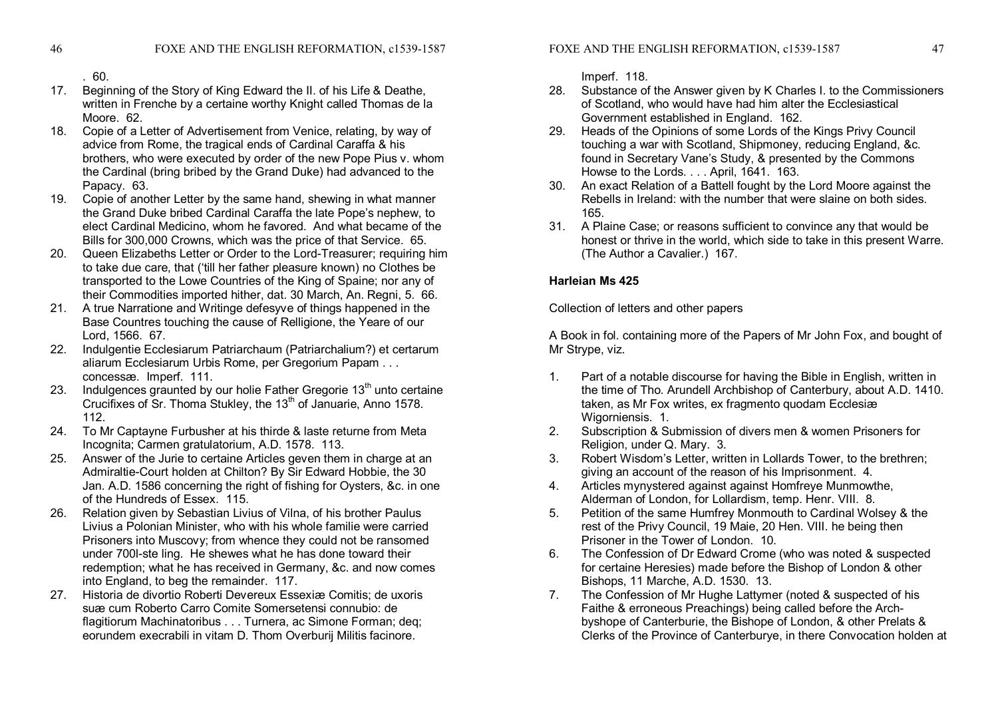. 60.

- 17. Beginning of the Story of King Edward the II. of his Life & Deathe, written in Frenche by a certaine worthy Knight called Thomas de la Moore. 62
- 18. Copie of a Letter of Advertisement from Venice, relating, by way of advice from Rome, the tragical ends of Cardinal Caraffa & his brothers, who were executed by order of the new Pope Pius v. whom the Cardinal (bring bribed by the Grand Duke) had advanced to the Papacy. 63.
- 19. Copie of another Letter by the same hand, shewing in what manner the Grand Duke bribed Cardinal Caraffa the late Pope's nephew, to elect Cardinal Medicino, whom he favored. And what became of the Bills for 300,000 Crowns, which was the price of that Service. 65.
- 20. Queen Elizabeths Letter or Order to the Lord-Treasurer; requiring him to take due care, that ('till her father pleasure known) no Clothes be transported to the Lowe Countries of the King of Spaine; nor any of their Commodities imported hither, dat. 30 March, An. Regni, 5. 66.
- 21. A true Narratione and Writinge defesyve of things happened in the Base Countres touching the cause of Relligione, the Yeare of our Lord, 1566. 67.
- 22. Indulgentie Ecclesiarum Patriarchaum (Patriarchalium?) et certarum aliarum Ecclesiarum Urbis Rome, per Gregorium Papam . . . concessæ. Imperf. 111.
- 23. Indulgences graunted by our holie Father Gregorie 13<sup>th</sup> unto certaine Crucifixes of Sr. Thoma Stukley, the 13<sup>th</sup> of Januarie, Anno 1578. 112.
- 24. To Mr Captayne Furbusher at his thirde & laste returne from Meta Incognita; Carmen gratulatorium, A.D. 1578. 113.
- 25. Answer of the Jurie to certaine Articles geven them in charge at an Admiraltie-Court holden at Chilton? By Sir Edward Hobbie, the 30 Jan. A.D. 1586 concerning the right of fishing for Oysters, &c. in one of the Hundreds of Essex. 115.
- 26. Relation given by Sebastian Livius of Vilna, of his brother Paulus Livius a Polonian Minister, who with his whole familie were carried Prisoners into Muscovy; from whence they could not be ransomed under 700l-ste ling. He shewes what he has done toward their redemption; what he has received in Germany, &c. and now comes into England, to beg the remainder. 117.
- 27. Historia de divortio Roberti Devereux Essexiæ Comitis; de uxoris suæ cum Roberto Carro Comite Somersetensi connubio: de flagitiorum Machinatoribus . . . Turnera, ac Simone Forman; deq; eorundem execrabili in vitam D. Thom Overburij Militis facinore.

Imperf. 118.

- 28. Substance of the Answer given by K Charles I. to the Commissioners of Scotland, who would have had him alter the Ecclesiastical Government established in England. 162.
- 29. Heads of the Opinions of some Lords of the Kings Privy Council touching a war with Scotland, Shipmoney, reducing England, &c. found in Secretary Vane's Study, & presented by the Commons Howse to the Lords. . . . April, 1641. 163.
- 30. An exact Relation of a Battell fought by the Lord Moore against the Rebells in Ireland: with the number that were slaine on both sides. 165.
- 31. A Plaine Case; or reasons sufficient to convince any that would be honest or thrive in the world, which side to take in this present Warre. (The Author a Cavalier.) 167.

# **Harleian Ms 425**

Collection of letters and other papers

A Book in fol. containing more of the Papers of Mr John Fox, and bought of Mr Strype, viz.

- 1. Part of a notable discourse for having the Bible in English, written in the time of Tho. Arundell Archbishop of Canterbury, about A.D. 1410. taken, as Mr Fox writes, ex fragmento quodam Ecclesiæ Wigorniensis. 1.
- 2. Subscription & Submission of divers men & women Prisoners for Religion, under Q. Mary. 3.
- 3. Robert Wisdom's Letter, written in Lollards Tower, to the brethren; giving an account of the reason of his Imprisonment. 4.
- 4. Articles mynystered against against Homfreye Munmowthe, Alderman of London, for Lollardism, temp. Henr. VIII. 8.
- 5. Petition of the same Humfrey Monmouth to Cardinal Wolsey & the rest of the Privy Council, 19 Maie, 20 Hen. VIII. he being then Prisoner in the Tower of London. 10.
- 6. The Confession of Dr Edward Crome (who was noted & suspected for certaine Heresies) made before the Bishop of London & other Bishops, 11 Marche, A.D. 1530. 13.
- 7. The Confession of Mr Hughe Lattymer (noted & suspected of his Faithe & erroneous Preachings) being called before the Arch byshope of Canterburie, the Bishope of London, & other Prelats & Clerks of the Province of Canterburye, in there Convocation holden at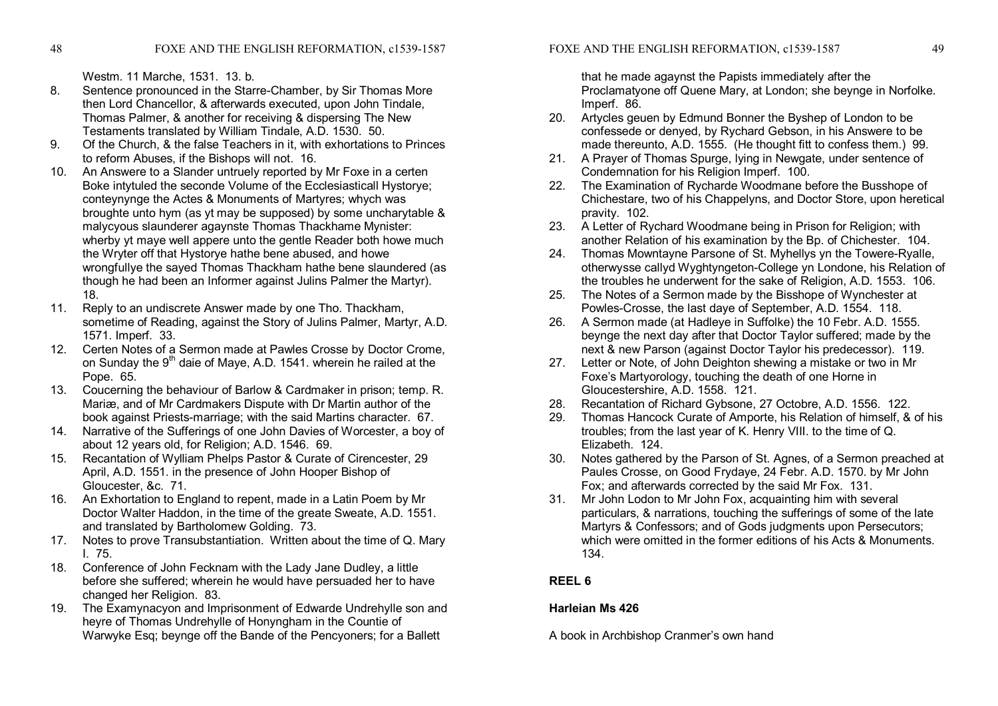Westm. 11 Marche, 1531. 13. b.

- 8. Sentence pronounced in the Starre-Chamber, by Sir Thomas More then Lord Chancellor, & afterwards executed, upon John Tindale, Thomas Palmer, & another for receiving & dispersing The New Testaments translated by William Tindale, A.D. 1530. 50.
- 9. Of the Church, & the false Teachers in it, with exhortations to Princes to reform Abuses, if the Bishops will not. 16.
- 10. An Answere to a Slander untruely reported by Mr Foxe in a certen Boke intytuled the seconde Volume of the Ecclesiasticall Hystorye; conteynynge the Actes & Monuments of Martyres; whych was broughte unto hym (as yt may be supposed) by some uncharytable & malycyous slaunderer agaynste Thomas Thackhame Mynister: wherby yt maye well appere unto the gentle Reader both howe much the Wryter off that Hystorye hathe bene abused, and howe wrongfullye the sayed Thomas Thackham hathe bene slaundered (as though he had been an Informer against Julins Palmer the Martyr). 18.
- 11. Reply to an undiscrete Answer made by one Tho. Thackham, sometime of Reading, against the Story of Julins Palmer, Martyr, A.D. 1571. Imperf. 33.
- 12. Certen Notes of a Sermon made at Pawles Crosse by Doctor Crome, on Sunday the 9<sup>th</sup> daie of Maye, A.D. 1541. wherein he railed at the Pope. 65.
- 13. Coucerning the behaviour of Barlow & Cardmaker in prison; temp. R. Mariæ, and of Mr Cardmakers Dispute with Dr Martin author of the book against Priests-marriage; with the said Martins character. 67.
- 14. Narrative of the Sufferings of one John Davies of Worcester, a boy of about 12 years old, for Religion; A.D. 1546. 69.
- 15. Recantation of Wylliam Phelps Pastor & Curate of Cirencester, 29 April, A.D. 1551. in the presence of John Hooper Bishop of Gloucester, &c. 71.
- 16. An Exhortation to England to repent, made in a Latin Poem by Mr Doctor Walter Haddon, in the time of the greate Sweate, A.D. 1551. and translated by Bartholomew Golding. 73.
- 17. Notes to prove Transubstantiation. Written about the time of Q. Mary I. 75.
- 18. Conference of John Fecknam with the Lady Jane Dudley, a little before she suffered; wherein he would have persuaded her to have changed her Religion. 83.
- 19. The Examynacyon and Imprisonment of Edwarde Undrehylle son and heyre of Thomas Undrehylle of Honyngham in the Countie of Warwyke Esq; beynge off the Bande of the Pencyoners; for a Ballett

that he made agaynst the Papists immediately after the Proclamatyone off Quene Mary, at London; she beynge in Norfolke. Imperf. 86.

- 20. Artycles geuen by Edmund Bonner the Byshep of London to be confessede or denyed, by Rychard Gebson, in his Answere to be made thereunto, A.D. 1555. (He thought fitt to confess them.) 99.
- 21. A Prayer of Thomas Spurge, Iving in Newgate, under sentence of Condemnation for his Religion Imperf. 100.
- 22. The Examination of Rycharde Woodmane before the Busshope of Chichestare, two of his Chappelyns, and Doctor Store, upon heretical pravity. 102.
- 23. A Letter of Rychard Woodmane being in Prison for Religion; with another Relation of his examination by the Bp. of Chichester. 104.
- 24. Thomas Mowntayne Parsone of St. Myhellys yn the Towere-Ryalle. otherwysse callyd Wyghtyngeton-College yn Londone, his Relation of the troubles he underwent for the sake of Religion, A.D. 1553. 106.
- 25. The Notes of a Sermon made by the Bisshope of Wynchester at Powles-Crosse, the last daye of September, A.D. 1554. 118.
- 26. A Sermon made (at Hadleye in Suffolke) the 10 Febr. A.D. 1555. beynge the next day after that Doctor Taylor suffered; made by the next & new Parson (against Doctor Taylor his predecessor). 119.
- 27. Letter or Note, of John Deighton shewing a mistake or two in Mr Foxe's Martyorology, touching the death of one Horne in Gloucestershire, A.D. 1558. 121.
- 28. Recantation of Richard Gybsone, 27 Octobre, A.D. 1556. 122.
- 29. Thomas Hancock Curate of Amporte, his Relation of himself, & of his troubles; from the last year of K. Henry VIII. to the time of Q. Elizabeth. 124.
- 30. Notes gathered by the Parson of St. Agnes, of a Sermon preached at Paules Crosse, on Good Frydaye, 24 Febr. A.D. 1570. by Mr John Fox; and afterwards corrected by the said Mr Fox. 131.
- 31. Mr John Lodon to Mr John Fox, acquainting him with several particulars, & narrations, touching the sufferings of some of the late Martyrs & Confessors; and of Gods judgments upon Persecutors; which were omitted in the former editions of his Acts & Monuments. 134.

# **REEL 6**

# **Harleian Ms 426**

A book in Archbishop Cranmer's own hand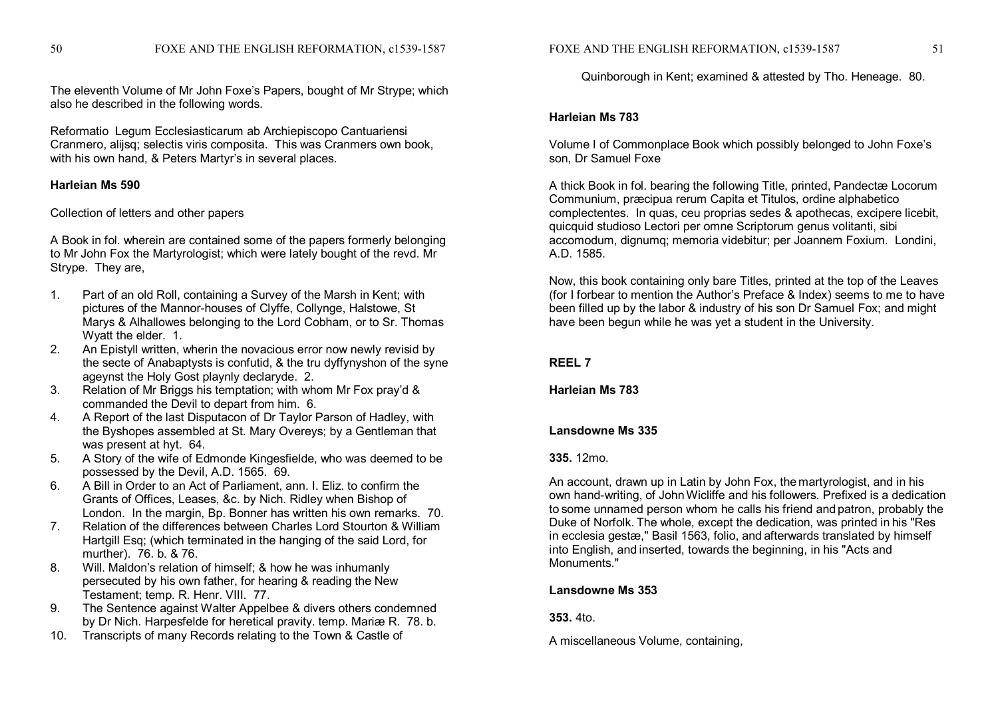The eleventh Volume of Mr John Foxe's Papers, bought of Mr Strype; which also he described in the following words.

Reformatio Legum Ecclesiasticarum ab Archiepiscopo Cantuariensi Cranmero, alijsq; selectis viris composita. This was Cranmers own book, with his own hand, & Peters Martyr's in several places.

## **Harleian Ms 590**

## Collection of letters and other papers

A Book in fol. wherein are contained some of the papers formerly belonging to Mr John Fox the Martyrologist; which were lately bought of the revd. Mr Strype. They are,

- 1. Part of an old Roll, containing a Survey of the Marsh in Kent; with pictures of the Mannor-houses of Clyffe, Collynge, Halstowe, St Marys & Alhallowes belonging to the Lord Cobham, or to Sr. Thomas Wyatt the elder. 1.
- 2. An Epistyll written, wherin the novacious error now newly revisid by the secte of Anabaptysts is confutid, & the tru dyffynyshon of the syne ageynst the Holy Gost playnly declaryde. 2.
- 3. Relation of Mr Briggs his temptation; with whom Mr Fox pray'd & commanded the Devil to depart from him. 6.
- 4. A Report of the last Disputacon of Dr Taylor Parson of Hadley, with the Byshopes assembled at St. Mary Overeys; by a Gentleman that was present at hyt. 64.
- 5. A Story of the wife of Edmonde Kingesfielde, who was deemed to be possessed by the Devil, A.D. 1565. 69.
- 6. A Bill in Order to an Act of Parliament, ann. I. Eliz. to confirm the Grants of Offices, Leases, &c. by Nich. Ridley when Bishop of London. In the margin, Bp. Bonner has written his own remarks. 70.
- 7. Relation of the differences between Charles Lord Stourton & William Hartgill Esq; (which terminated in the hanging of the said Lord, for murther). 76. b. & 76.
- 8. Will. Maldon's relation of himself; & how he was inhumanly persecuted by his own father, for hearing & reading the New Testament; temp. R. Henr. VIII. 77.
- 9. The Sentence against Walter Appelbee & divers others condemned by Dr Nich. Harpesfelde for heretical pravity. temp. Mariæ R. 78. b.
- 10. Transcripts of many Records relating to the Town & Castle of

Quinborough in Kent; examined & attested by Tho. Heneage. 80.

# **Harleian Ms 783**

Volume I of Commonplace Book which possibly belonged to John Foxe's son, Dr Samuel Foxe

A thick Book in fol. bearing the following Title, printed, Pandectæ Locorum Communium, præcipua rerum Capita et Titulos, ordine alphabetico complectentes. In quas, ceu proprias sedes & apothecas, excipere licebit, quicquid studioso Lectori per omne Scriptorum genus volitanti, sibi accomodum, dignumq; memoria videbitur; per Joannem Foxium. Londini, A.D. 1585.

Now, this book containing only bare Titles, printed at the top of the Leaves (for I forbear to mention the Author's Preface & Index) seems to me to have been filled up by the labor & industry of his son Dr Samuel Fox; and might have been begun while he was yet a student in the University.

# **REEL 7**

**Harleian Ms 783**

# **Lansdowne Ms 335**

## **335.** 12mo.

An account, drawn up in Latin by John Fox, the martyrologist, and in his own hand-writing, of John Wicliffe and his followers. Prefixed is a dedication to some unnamed person whom he calls his friend and patron, probably the Duke of Norfolk. The whole, except the dedication, was printed in his "Res in ecclesia gestæ," Basil 1563, folio, and afterwards translated by himself into English, and inserted, towards the beginning, in his "Acts and Monuments."

# **Lansdowne Ms 353**

# **353.** 4to.

A miscellaneous Volume, containing,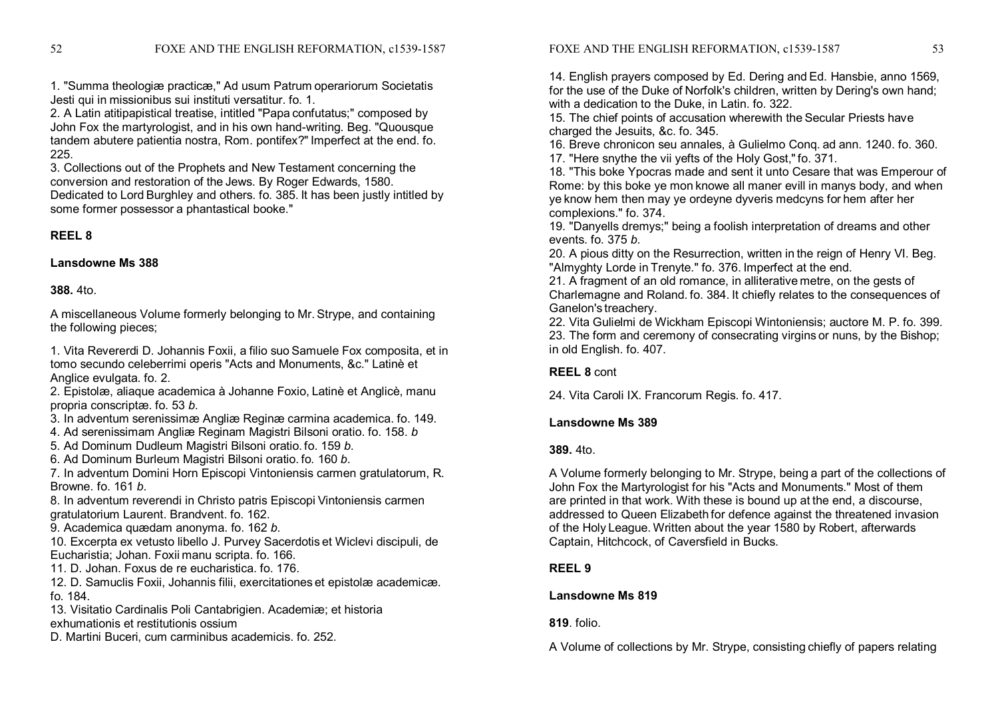1. "Summa theologiæ practicæ," Ad usum Patrum operariorum Societatis Jesti qui in missionibus sui instituti versatitur. fo. 1.

2. A Latin atitipapistical treatise, intitled "Papa confutatus;" composed by John Fox the martyrologist, and in his own hand-writing. Beg. "Quousque tandem abutere patientia nostra, Rom. pontifex?" Imperfect at the end. fo. 225.

3. Collections out of the Prophets and New Testament concerning the conversion and restoration of the Jews. By Roger Edwards, 1580.

Dedicated to Lord Burghley and others. fo. 385. It has been justly intitled by some former possessor a phantastical booke."

# **REEL 8**

## **Lansdowne Ms 388**

# **388.** 4to.

A miscellaneous Volume formerly belonging to Mr. Strype, and containing the following pieces;

1. Vita Revererdi D. Johannis Foxii, a filio suo Samuele Fox composita, et in tomo secundo celeberrimi operis "Acts and Monuments, &c." Latinè et Anglice evulgata. fo. 2.

2. Epistolæ, aliaque academica à Johanne Foxio, Latinè et Anglicè, manu propria conscriptæ. fo. 53 *b*.

3. In adventum serenissimæ Angliæ Reginæ carmina academica. fo. 149.

4. Ad serenissimam Angliæ Reginam Magistri Bilsoni oratio. fo. 158. *b*

5. Ad Dominum Dudleum Magistri Bilsoni oratio. fo. 159 *b*.

6. Ad Dominum Burleum Magistri Bilsoni oratio. fo. 160 *b*.

7. In adventum Domini Horn Episcopi Vintoniensis carmen gratulatorum, R. Browne. fo. 161 *b*.

8. In adventum reverendi in Christo patris Episcopi Vintoniensis carmen gratulatorium Laurent. Brandvent. fo. 162.

9. Academica quædam anonyma. fo. 162 *b*.

10. Excerpta ex vetusto libello J. Purvey Sacerdotis et Wiclevi discipuli, de Eucharistia; Johan. Foxii manu scripta. fo. 166.

11. D. Johan. Foxus de re eucharistica. fo. 176.

12. D. Samuclis Foxii, Johannis filii, exercitationes et epistolæ academicæ. fo. 184.

13. Visitatio Cardinalis Poli Cantabrigien. Academiæ; et historia exhumationis et restitutionis ossium

D. Martini Buceri, cum carminibus academicis. fo. 252.

14. English prayers composed by Ed. Dering and Ed. Hansbie, anno 1569, for the use of the Duke of Norfolk's children, written by Dering's own hand: with a dedication to the Duke, in Latin. fo. 322.

15. The chief points of accusation wherewith the Secular Priests have charged the Jesuits, &c. fo. 345.

16. Breve chronicon seu annales, à Gulielmo Conq. ad ann. 1240. fo. 360. 17. "Here snythe the vii yefts of the Holy Gost,"fo. 371.

18. "This boke Ypocras made and sent it unto Cesare that was Emperour of Rome: by this boke ye mon knowe all maner evill in manys body, and when ye know hem then may ye ordeyne dyveris medcyns for hem after her complexions." fo. 374.

19. "Danyells dremys;" being a foolish interpretation of dreams and other events. fo. 375 *b*.

20. A pious ditty on the Resurrection, written in the reign of Henry VI. Beg. "Almyghty Lorde in Trenyte." fo. 376. Imperfect at the end.

21. A fragment of an old romance, in alliterative metre, on the gests of Charlemagne and Roland. fo. 384. It chiefly relates to the consequences of Ganelon's treachery.

22. Vita Gulielmi de Wickham Episcopi Wintoniensis; auctore M. P. fo. 399. 23. The form and ceremony of consecrating virgins or nuns, by the Bishop; in old English. fo. 407.

# **REEL 8** cont

24. Vita Caroli IX. Francorum Regis. fo. 417.

# **Lansdowne Ms 389**

# **389.** 4to.

A Volume formerly belonging to Mr. Strype, being a part of the collections of John Fox the Martyrologist for his "Acts and Monuments." Most of them are printed in that work. With these is bound up at the end, a discourse, addressed to Queen Elizabeth for defence against the threatened invasion of the Holy League. Written about the year 1580 by Robert, afterwards Captain, Hitchcock, of Caversfield in Bucks.

# **REEL 9**

# **Lansdowne Ms 819**

**819**. folio.

A Volume of collections by Mr. Strype, consisting chiefly of papers relating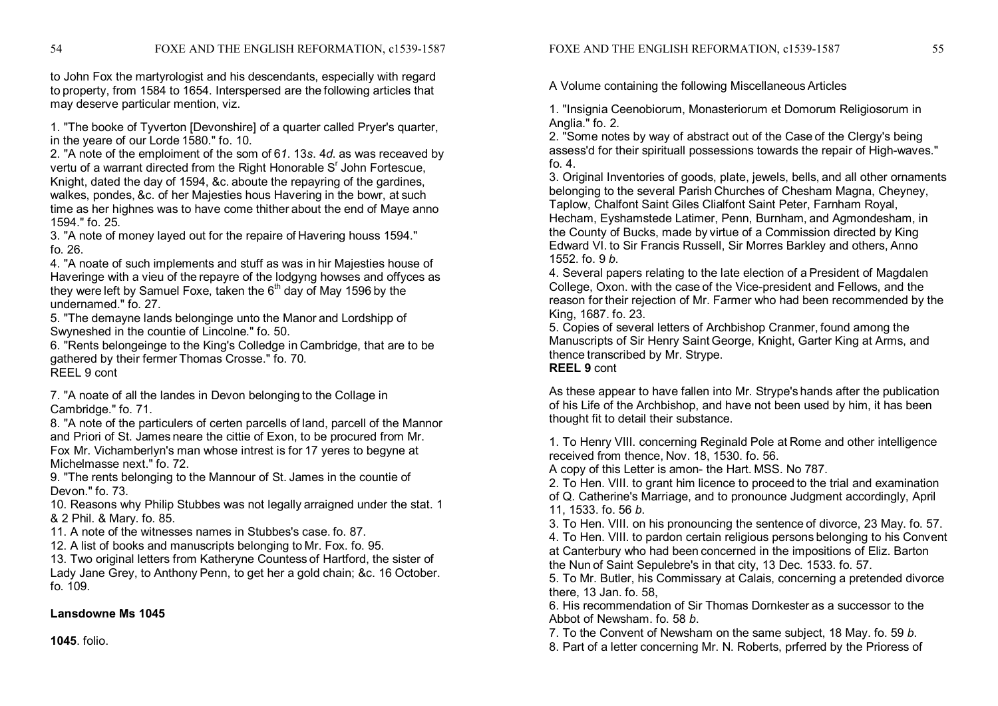to John Fox the martyrologist and his descendants, especially with regard to property, from 1584 to 1654. Interspersed are the following articles that may deserve particular mention, viz.

1. "The booke of Tyverton [Devonshire] of a quarter called Pryer's quarter, in the yeare of our Lorde 1580." fo. 10.

2. "A note of the emploiment of the som of 6*1*. 13*s*. 4*d*. as was receaved by vertu of a warrant directed from the Right Honorable S<sup>r</sup> John Fortescue, Knight, dated the day of 1594, &c. aboute the repayring of the gardines, walkes, pondes, &c. of her Majesties hous Havering in the bowr, at such time as her highnes was to have come thither about the end of Maye anno 1594." fo. 25.

3. "A note of money layed out for the repaire of Havering houss 1594." fo. 26.

4. "A noate of such implements and stuff as was in hir Majesties house of Haveringe with a vieu of the repayre of the lodgyng howses and offyces as they were left by Samuel Foxe, taken the 6<sup>th</sup> day of May 1596 by the undernamed." fo. 27.

5. "The demayne lands belonginge unto the Manor and Lordshipp of Swyneshed in the countie of Lincolne." fo. 50.

6. "Rents belongeinge to the King's Colledge in Cambridge, that are to be gathered by their fermer Thomas Crosse." fo. 70. REEL 9 cont

7. "A noate of all the landes in Devon belonging to the Collage in Cambridge." fo. 71.

8. "A note of the particulers of certen parcells of land, parcell of the Mannor and Priori of St. James neare the cittie of Exon, to be procured from Mr. Fox Mr. Vichamberlyn's man whose intrest is for 17 yeres to begyne at Michelmasse next." fo. 72.

9. "The rents belonging to the Mannour of St. James in the countie of Devon." fo. 73.

10. Reasons why Philip Stubbes was not legally arraigned under the stat. 1 & 2 Phil. & Mary. fo. 85.

11. A note of the witnesses names in Stubbes's case. fo. 87.

12. A list of books and manuscripts belonging to Mr. Fox. fo. 95.

13. Two original letters from Katheryne Countess of Hartford, the sister of Lady Jane Grey, to Anthony Penn, to get her a gold chain; &c. 16 October. fo. 109.

# **Lansdowne Ms 1045**

**1045**. folio.

A Volume containing the following MiscellaneousArticles

1. "Insignia Ceenobiorum, Monasteriorum et Domorum Religiosorum in Anglia." fo. 2.

2. "Some notes by way of abstract out of the Case of the Clergy's being assess'd for their spirituall possessions towards the repair of High-waves." fo. 4.

3. Original Inventories of goods, plate, jewels, bells, and all other ornaments belonging to the several Parish Churches of Chesham Magna, Cheyney, Taplow, Chalfont Saint Giles Clialfont Saint Peter, Farnham Royal, Hecham, Eyshamstede Latimer, Penn, Burnham, and Agmondesham, in the County of Bucks, made by virtue of a Commission directed by King Edward VI. to Sir Francis Russell, Sir Morres Barkley and others, Anno 1552. fo. 9 *b*.

4. Several papers relating to the late election of a President of Magdalen College, Oxon. with the case of the Vice-president and Fellows, and the reason for their rejection of Mr. Farmer who had been recommended by the King, 1687. fo. 23.

5. Copies of several letters of Archbishop Cranmer, found among the Manuscripts of Sir Henry Saint George, Knight, Garter King at Arms, and thence transcribed by Mr. Strype. **REEL 9** cont

As these appear to have fallen into Mr. Strype's hands after the publication of his Life of the Archbishop, and have not been used by him, it has been thought fit to detail their substance.

1. To Henry VIII. concerning Reginald Pole at Rome and other intelligence received from thence, Nov. 18, 1530. fo. 56.

A copy of this Letter is amon- the Hart. MSS. No 787.

2. To Hen. VIII. to grant him licence to proceed to the trial and examination of Q. Catherine's Marriage, and to pronounce Judgment accordingly, April 11, 1533. fo. 56 *b*.

3. To Hen. VIII. on his pronouncing the sentence of divorce, 23 May. fo. 57.

4. To Hen. VIII. to pardon certain religious persons belonging to his Convent at Canterbury who had been concerned in the impositions of Eliz. Barton the Nun of Saint Sepulebre's in that city, 13 Dec. 1533. fo. 57.

5. To Mr. Butler, his Commissary at Calais, concerning a pretended divorce there, 13 Jan. fo. 58,

6. His recommendation of Sir Thomas Dornkester as a successor to the Abbot of Newsham. fo. 58 *b*.

7. To the Convent of Newsham on the same subject, 18 May. fo. 59 *b*.

8. Part of a letter concerning Mr. N. Roberts, prferred by the Prioress of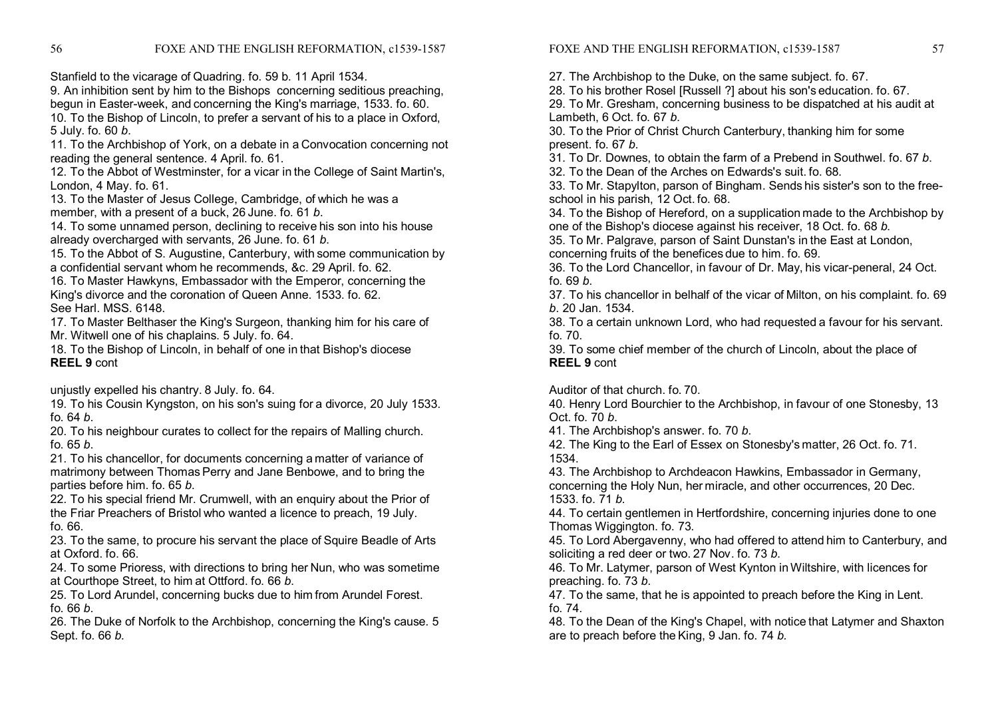Stanfield to the vicarage of Quadring. fo. 59 b. 11 April 1534.

9. An inhibition sent by him to the Bishops concerning seditious preaching, begun in Easter-week, and concerning the King's marriage, 1533. fo. 60.

10. To the Bishop of Lincoln, to prefer a servant of his to a place in Oxford, 5 July. fo. 60 *b*.

11. To the Archbishop of York, on a debate in a Convocation concerning not reading the general sentence. 4 April. fo. 61.

12. To the Abbot of Westminster, for a vicar in the College of Saint Martin's, London, 4 May. fo. 61.

13. To the Master of Jesus College, Cambridge, of which he was a member, with a present of a buck, 26 June. fo. 61 *b*.

14. To some unnamed person, declining to receive his son into his house already overcharged with servants, 26 June. fo. 61 *b*.

15. To the Abbot of S. Augustine, Canterbury, with some communication by a confidential servant whom he recommends, &c. 29 April. fo. 62.

16. To Master Hawkyns, Embassador with the Emperor, concerning the King's divorce and the coronation of Queen Anne. 1533. fo. 62. See Harl. MSS. 6148.

17. To Master Belthaser the King's Surgeon, thanking him for his care of Mr. Witwell one of his chaplains. 5 July. fo. 64.

18. To the Bishop of Lincoln, in behalf of one in that Bishop's diocese **REEL 9** cont

unjustly expelled his chantry. 8 July. fo. 64.

19. To his Cousin Kyngston, on his son's suing for a divorce, 20 July 1533. fo. 64 *b*.

20. To his neighbour curates to collect for the repairs of Malling church. fo. 65 *b*.

21. To his chancellor, for documents concerning a matter of variance of matrimony between Thomas Perry and Jane Benbowe, and to bring the parties before him. fo. 65 *b*.

22. To his special friend Mr. Crumwell, with an enquiry about the Prior of the Friar Preachers of Bristol who wanted a licence to preach, 19 July. fo. 66.

23. To the same, to procure his servant the place of Squire Beadle of Arts at Oxford. fo. 66.

24. To some Prioress, with directions to bring her Nun, who was sometime at Courthope Street, to him at Ottford. fo. 66 *b*.

25. To Lord Arundel, concerning bucks due to him from Arundel Forest. fo. 66 *b*.

26. The Duke of Norfolk to the Archbishop, concerning the King's cause. 5 Sept. fo. 66 *b*.

27. The Archbishop to the Duke, on the same subject. fo. 67.

28. To his brother Rosel [Russell ?] about his son's education. fo. 67.

29. To Mr. Gresham, concerning business to be dispatched at his audit at Lambeth, 6 Oct. fo. 67 *b*.

30. To the Prior of Christ Church Canterbury, thanking him for some present. fo. 67 *b*.

31. To Dr. Downes, to obtain the farm of a Prebend in Southwel. fo. 67 *b*.

32. To the Dean of the Arches on Edwards's suit. fo. 68.

33. To Mr. Stapylton, parson of Bingham. Sends his sister's son to the free school in his parish, 12 Oct. fo. 68.

34. To the Bishop of Hereford, on a supplication made to the Archbishop by one of the Bishop's diocese against his receiver, 18 Oct. fo. 68 *b*.

35. To Mr. Palgrave, parson of Saint Dunstan's in the East at London, concerning fruits of the benefices due to him. fo. 69.

36. To the Lord Chancellor, in favour of Dr. May, his vicar-peneral, 24 Oct. fo. 69 *b*.

37. To his chancellor in belhalf of the vicar of Milton, on his complaint. fo. 69 *b*. 20 Jan. 1534.

38. To a certain unknown Lord, who had requested a favour for his servant. fo. 70.

39. To some chief member of the church of Lincoln, about the place of **REEL 9** cont

Auditor of that church. fo. 70.

40. Henry Lord Bourchier to the Archbishop, in favour of one Stonesby, 13 Oct. fo. 70 *b*.

41. The Archbishop's answer. fo. 70 *b*.

42. The King to the Earl of Essex on Stonesby's matter, 26 Oct. fo. 71. 1534.

43. The Archbishop to Archdeacon Hawkins, Embassador in Germany, concerning the Holy Nun, her miracle, and other occurrences, 20 Dec. 1533. fo. 71 *b*.

44. To certain gentlemen in Hertfordshire, concerning injuries done to one Thomas Wiggington. fo. 73.

45. To Lord Abergavenny, who had offered to attend him to Canterbury, and soliciting a red deer or two. 27 Nov. fo. 73 *b*.

46. To Mr. Latymer, parson of West Kynton in Wiltshire, with licences for preaching. fo. 73 *b*.

47. To the same, that he is appointed to preach before the King in Lent. fo. 74.

48. To the Dean of the King's Chapel, with notice that Latymer and Shaxton are to preach before the King, 9 Jan. fo. 74 *b.*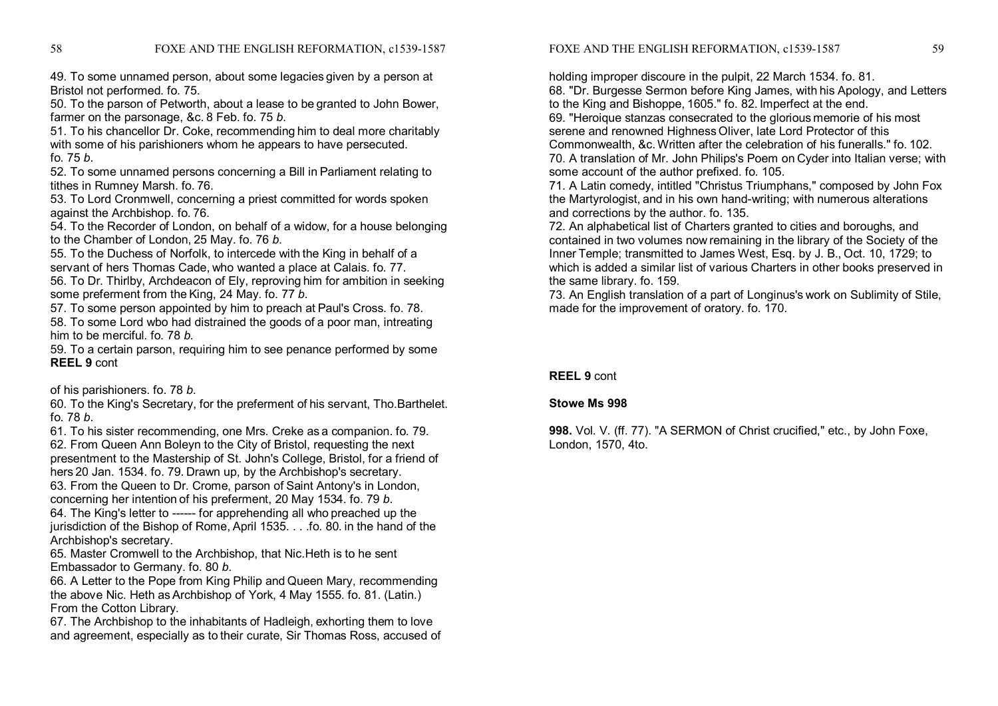49. To some unnamed person, about some legacies given by a person at Bristol not performed. fo. 75.

50. To the parson of Petworth, about a lease to be granted to John Bower, farmer on the parsonage, &c. 8 Feb. fo. 75 *b*.

51. To his chancellor Dr. Coke, recommending him to deal more charitably with some of his parishioners whom he appears to have persecuted. fo. 75 *b*.

52. To some unnamed persons concerning a Bill in Parliament relating to tithes in Rumney Marsh. fo. 76.

53. To Lord Cronmwell, concerning a priest committed for words spoken against the Archbishop. fo. 76.

54. To the Recorder of London, on behalf of a widow, for a house belonging to the Chamber of London, 25 May. fo. 76 *b*.

55. To the Duchess of Norfolk, to intercede with the King in behalf of a servant of hers Thomas Cade, who wanted a place at Calais. fo. 77.

56. To Dr. Thirlby, Archdeacon of Ely, reproving him for ambition in seeking some preferment from the King, 24 May. fo. 77 *b*.

57. To some person appointed by him to preach at Paul's Cross. fo. 78.

58. To some Lord wbo had distrained the goods of a poor man, intreating him to be merciful. fo. 78 *b*.

59. To a certain parson, requiring him to see penance performed by some **REEL 9** cont

of his parishioners. fo. 78 *b*.

60. To the King's Secretary, for the preferment of his servant, Tho.Barthelet. fo. 78 *b*.

61. To his sister recommending, one Mrs. Creke as a companion. fo. 79. 62. From Queen Ann Boleyn to the City of Bristol, requesting the next presentment to the Mastership of St. John's College, Bristol, for a friend of hers 20 Jan. 1534. fo. 79. Drawn up, by the Archbishop's secretary.

63. From the Queen to Dr. Crome, parson of Saint Antony's in London, concerning her intention of his preferment, 20 May 1534. fo. 79 *b*.

64. The King's letter to ------ for apprehending all who preached up the jurisdiction of the Bishop of Rome, April 1535. . . .fo. 80. in the hand of the Archbishop's secretary.

65. Master Cromwell to the Archbishop, that Nic.Heth is to he sent Embassador to Germany. fo. 80 *b*.

66. A Letter to the Pope from King Philip and Queen Mary, recommending the above Nic. Heth as Archbishop of York, 4 May 1555. fo. 81. (Latin.) From the Cotton Library.

67. The Archbishop to the inhabitants of Hadleigh, exhorting them to love and agreement, especially as to their curate, Sir Thomas Ross, accused of FOXE AND THE ENGLISH REFORMATION, c1539-1587 59

holding improper discoure in the pulpit, 22 March 1534. fo. 81.

68. "Dr. Burgesse Sermon before King James, with his Apology, and Letters to the King and Bishoppe, 1605." fo. 82. Imperfect at the end.

69. "Heroique stanzas consecrated to the glorious memorie of his most serene and renowned Highness Oliver, late Lord Protector of this Commonwealth, &c.Written after the celebration of his funeralls." fo. 102. 70. A translation of Mr. John Philips's Poem on Cyder into Italian verse; with some account of the author prefixed. fo. 105.

71. A Latin comedy, intitled "Christus Triumphans," composed by John Fox the Martyrologist, and in his own hand-writing; with numerous alterations and corrections by the author. fo. 135.

72. An alphabetical list of Charters granted to cities and boroughs, and contained in two volumes now remaining in the library of the Society of the Inner Temple; transmitted to James West, Esq. by J. B., Oct. 10, 1729; to which is added a similar list of various Charters in other books preserved in the same library. fo. 159.

73. An English translation of a part of Longinus's work on Sublimity of Stile, made for the improvement of oratory. fo. 170.

## **REEL 9** cont

## **Stowe Ms 998**

**998.** Vol. V. (ff. 77). "A SERMON of Christ crucified," etc., by John Foxe, London, 1570, 4to.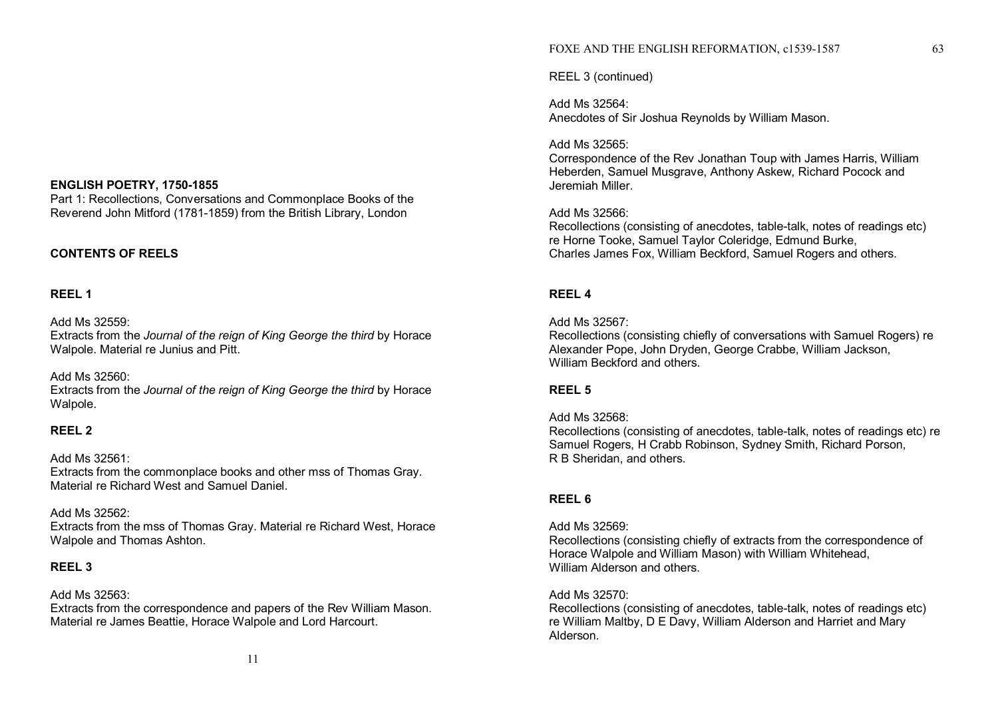## **ENGLISH POETRY, 1750-1855**

Part 1: Recollections, Conversations and Commonplace Books of the Reverend John Mitford (1781-1859) from the British Library, London

## **CONTENTS OF REELS**

# **REEL 1**

Add Ms 32559: Extracts from the *Journal of the reign of King George the third* by Horace Walpole. Material re Junius and Pitt.

#### Add Ms 32560:

Extracts from the *Journal of the reign of King George the third* by Horace Walpole.

# **REEL 2**

# Add Ms 32561:

Extracts from the commonplace books and other mss of Thomas Gray. Material re Richard West and Samuel Daniel.

## Add Ms 32562:

Extracts from the mss of Thomas Gray. Material re Richard West, Horace Walpole and Thomas Ashton.

# **REEL 3**

## Add Ms 32563:

Extracts from the correspondence and papers of the Rev William Mason. Material re James Beattie, Horace Walpole and Lord Harcourt.

## FOXE AND THE ENGLISH REFORMATION, c1539-1587 63

REEL 3 (continued)

Add Ms 32564: Anecdotes of Sir Joshua Reynolds by William Mason.

## Add Ms 32565:

Correspondence of the Rev Jonathan Toup with James Harris, William Heberden, Samuel Musgrave, Anthony Askew, Richard Pocock and Jeremiah Miller.

## Add Ms 32566:

Recollections (consisting of anecdotes, table-talk, notes of readings etc) re Horne Tooke, Samuel Taylor Coleridge, Edmund Burke, Charles James Fox, William Beckford, Samuel Rogers and others.

# **REEL 4**

## Add Ms 32567:

Recollections (consisting chiefly of conversations with Samuel Rogers) re Alexander Pope, John Dryden, George Crabbe, William Jackson, William Beckford and others.

## **REEL 5**

## Add Ms 32568:

Recollections (consisting of anecdotes, table-talk, notes of readings etc) re Samuel Rogers, H Crabb Robinson, Sydney Smith, Richard Porson, R B Sheridan, and others.

# **REEL 6**

## Add Ms 32569:

Recollections (consisting chiefly of extracts from the correspondence of Horace Walpole and William Mason) with William Whitehead, William Alderson and others.

## Add Ms 32570:

Recollections (consisting of anecdotes, table-talk, notes of readings etc) re William Maltby, D E Davy, William Alderson and Harriet and Mary Alderson.